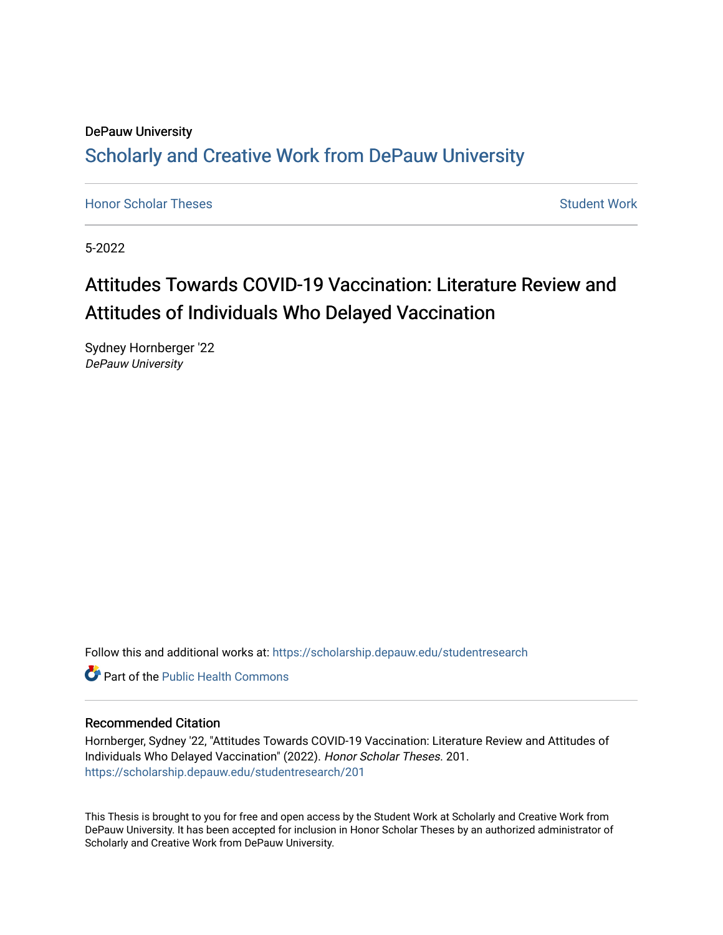## DePauw University Scholarly and [Creative Work from DePauw Univ](https://scholarship.depauw.edu/)ersity

**[Honor Scholar Theses](https://scholarship.depauw.edu/studentresearch) [Student Work](https://scholarship.depauw.edu/studentwork) Student Work Student Work** 

5-2022

# Attitudes Towards COVID-19 Vaccination: Literature Review and Attitudes of Individuals Who Delayed Vaccination

Sydney Hornberger '22 DePauw University

Follow this and additional works at: [https://scholarship.depauw.edu/studentresearch](https://scholarship.depauw.edu/studentresearch?utm_source=scholarship.depauw.edu%2Fstudentresearch%2F201&utm_medium=PDF&utm_campaign=PDFCoverPages)

**C** Part of the Public Health Commons

#### Recommended Citation

Hornberger, Sydney '22, "Attitudes Towards COVID-19 Vaccination: Literature Review and Attitudes of Individuals Who Delayed Vaccination" (2022). Honor Scholar Theses. 201. [https://scholarship.depauw.edu/studentresearch/201](https://scholarship.depauw.edu/studentresearch/201?utm_source=scholarship.depauw.edu%2Fstudentresearch%2F201&utm_medium=PDF&utm_campaign=PDFCoverPages)

This Thesis is brought to you for free and open access by the Student Work at Scholarly and Creative Work from DePauw University. It has been accepted for inclusion in Honor Scholar Theses by an authorized administrator of Scholarly and Creative Work from DePauw University.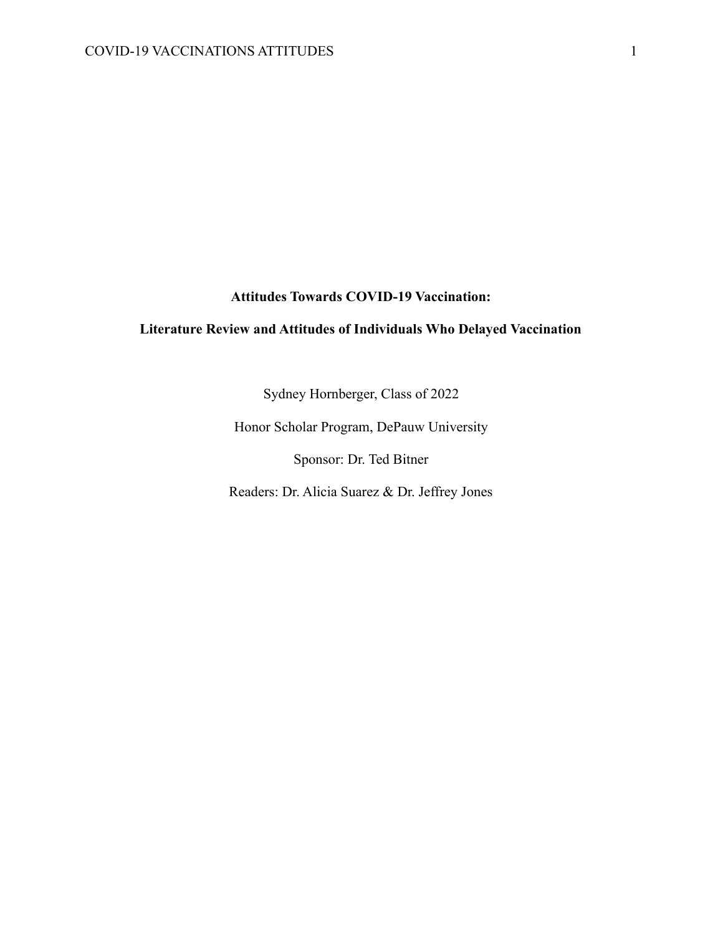#### **Attitudes Towards COVID-19 Vaccination:**

### **Literature Review and Attitudes of Individuals Who Delayed Vaccination**

Sydney Hornberger, Class of 2022

Honor Scholar Program, DePauw University

Sponsor: Dr. Ted Bitner

Readers: Dr. Alicia Suarez & Dr. Jeffrey Jones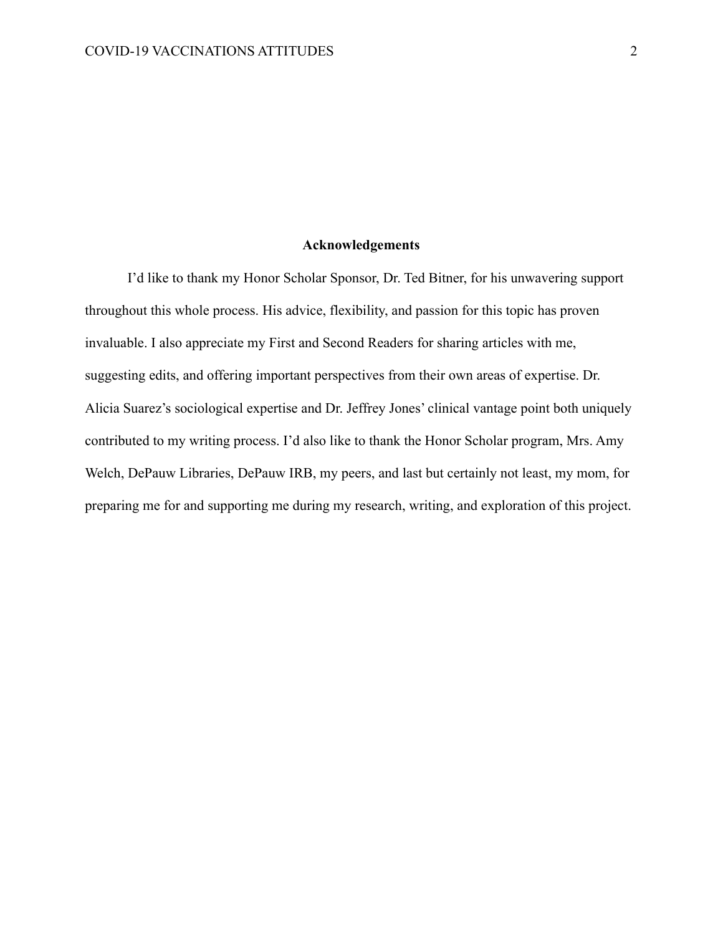#### **Acknowledgements**

I'd like to thank my Honor Scholar Sponsor, Dr. Ted Bitner, for his unwavering support throughout this whole process. His advice, flexibility, and passion for this topic has proven invaluable. I also appreciate my First and Second Readers for sharing articles with me, suggesting edits, and offering important perspectives from their own areas of expertise. Dr. Alicia Suarez's sociological expertise and Dr. Jeffrey Jones' clinical vantage point both uniquely contributed to my writing process. I'd also like to thank the Honor Scholar program, Mrs. Amy Welch, DePauw Libraries, DePauw IRB, my peers, and last but certainly not least, my mom, for preparing me for and supporting me during my research, writing, and exploration of this project.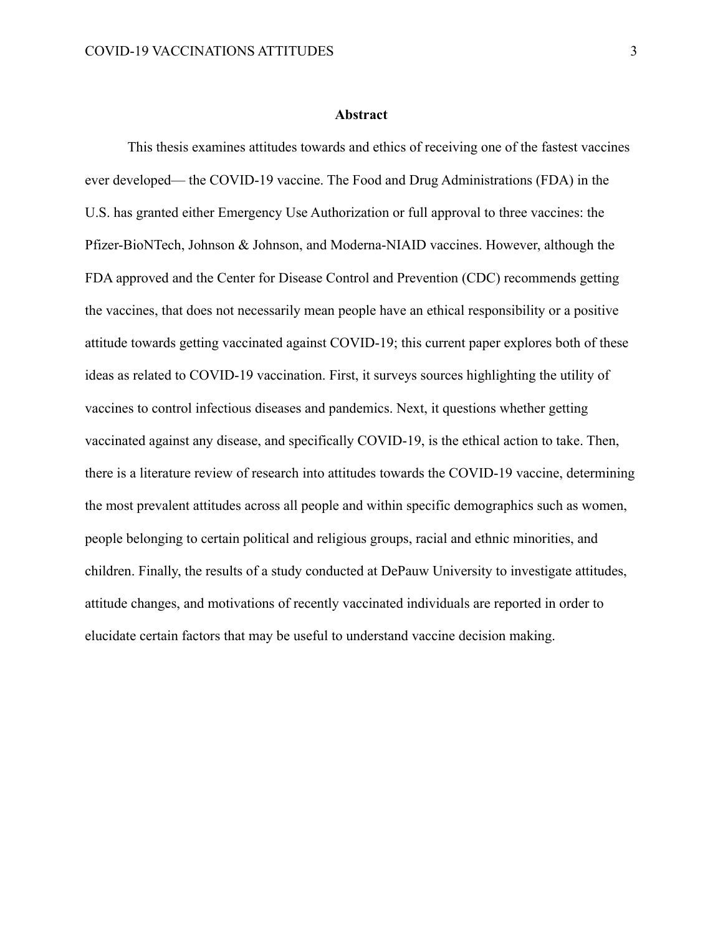This thesis examines attitudes towards and ethics of receiving one of the fastest vaccines ever developed— the COVID-19 vaccine. The Food and Drug Administrations (FDA) in the U.S. has granted either Emergency Use Authorization or full approval to three vaccines: the Pfizer-BioNTech, Johnson & Johnson, and Moderna-NIAID vaccines. However, although the FDA approved and the Center for Disease Control and Prevention (CDC) recommends getting the vaccines, that does not necessarily mean people have an ethical responsibility or a positive attitude towards getting vaccinated against COVID-19; this current paper explores both of these ideas as related to COVID-19 vaccination. First, it surveys sources highlighting the utility of vaccines to control infectious diseases and pandemics. Next, it questions whether getting vaccinated against any disease, and specifically COVID-19, is the ethical action to take. Then, there is a literature review of research into attitudes towards the COVID-19 vaccine, determining the most prevalent attitudes across all people and within specific demographics such as women, people belonging to certain political and religious groups, racial and ethnic minorities, and children. Finally, the results of a study conducted at DePauw University to investigate attitudes, attitude changes, and motivations of recently vaccinated individuals are reported in order to elucidate certain factors that may be useful to understand vaccine decision making.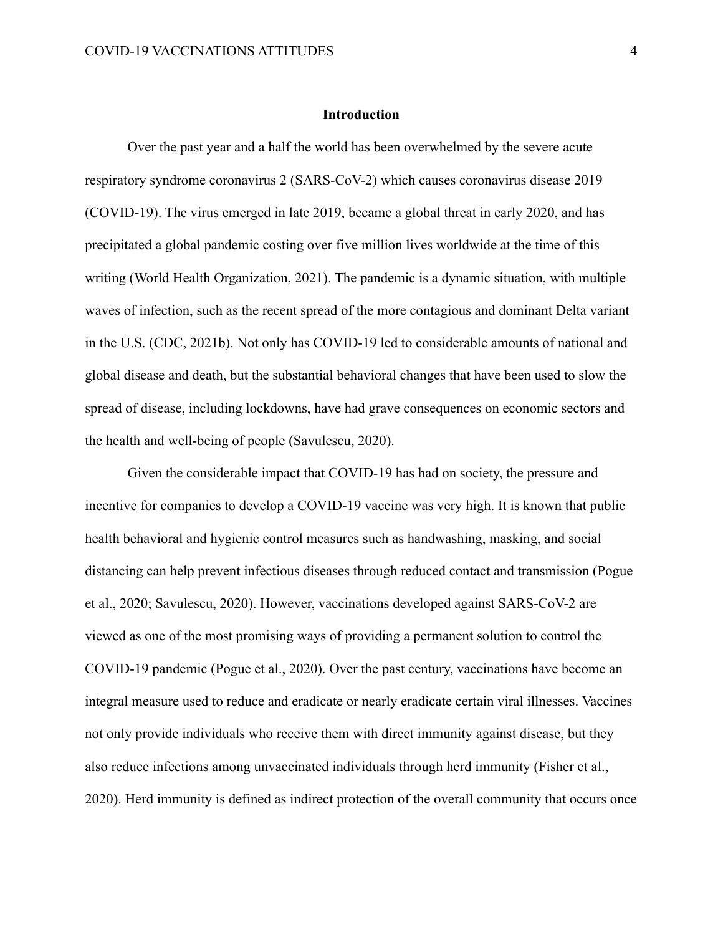#### **Introduction**

Over the past year and a half the world has been overwhelmed by the severe acute respiratory syndrome coronavirus 2 (SARS-CoV-2) which causes coronavirus disease 2019 (COVID-19). The virus emerged in late 2019, became a global threat in early 2020, and has precipitated a global pandemic costing over five million lives worldwide at the time of this writing (World Health Organization, 2021). The pandemic is a dynamic situation, with multiple waves of infection, such as the recent spread of the more contagious and dominant Delta variant in the U.S. (CDC, 2021b). Not only has COVID-19 led to considerable amounts of national and global disease and death, but the substantial behavioral changes that have been used to slow the spread of disease, including lockdowns, have had grave consequences on economic sectors and the health and well-being of people (Savulescu, 2020).

Given the considerable impact that COVID-19 has had on society, the pressure and incentive for companies to develop a COVID-19 vaccine was very high. It is known that public health behavioral and hygienic control measures such as handwashing, masking, and social distancing can help prevent infectious diseases through reduced contact and transmission (Pogue et al., 2020; Savulescu, 2020). However, vaccinations developed against SARS-CoV-2 are viewed as one of the most promising ways of providing a permanent solution to control the COVID-19 pandemic (Pogue et al., 2020). Over the past century, vaccinations have become an integral measure used to reduce and eradicate or nearly eradicate certain viral illnesses. Vaccines not only provide individuals who receive them with direct immunity against disease, but they also reduce infections among unvaccinated individuals through herd immunity (Fisher et al., 2020). Herd immunity is defined as indirect protection of the overall community that occurs once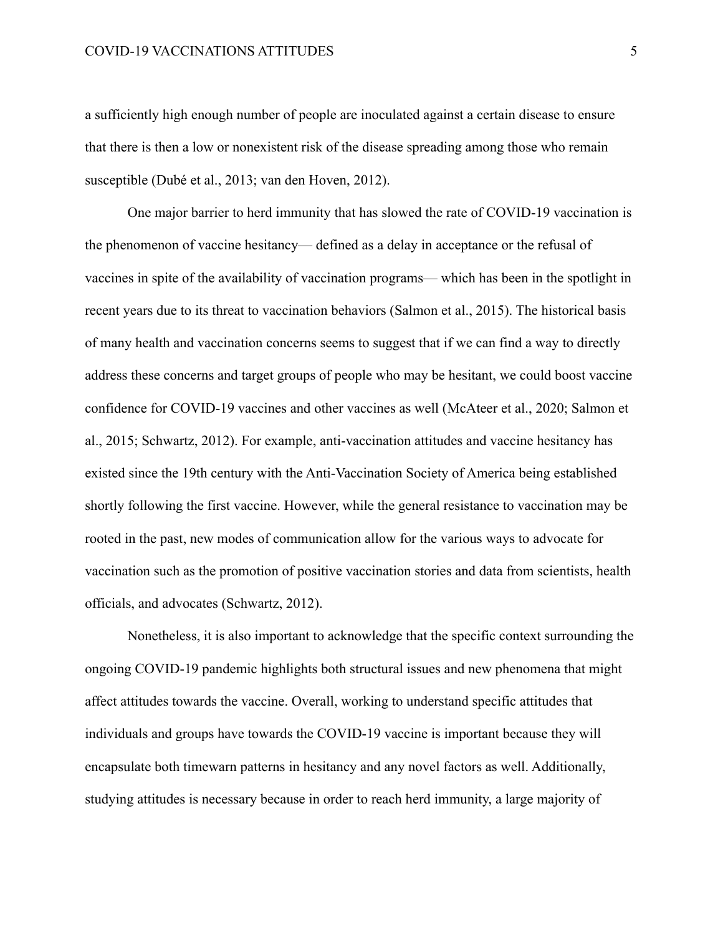a sufficiently high enough number of people are inoculated against a certain disease to ensure that there is then a low or nonexistent risk of the disease spreading among those who remain susceptible (Dubé et al., 2013; van den Hoven, 2012).

One major barrier to herd immunity that has slowed the rate of COVID-19 vaccination is the phenomenon of vaccine hesitancy— defined as a delay in acceptance or the refusal of vaccines in spite of the availability of vaccination programs— which has been in the spotlight in recent years due to its threat to vaccination behaviors (Salmon et al., 2015). The historical basis of many health and vaccination concerns seems to suggest that if we can find a way to directly address these concerns and target groups of people who may be hesitant, we could boost vaccine confidence for COVID-19 vaccines and other vaccines as well (McAteer et al., 2020; Salmon et al., 2015; Schwartz, 2012). For example, anti-vaccination attitudes and vaccine hesitancy has existed since the 19th century with the Anti-Vaccination Society of America being established shortly following the first vaccine. However, while the general resistance to vaccination may be rooted in the past, new modes of communication allow for the various ways to advocate for vaccination such as the promotion of positive vaccination stories and data from scientists, health officials, and advocates (Schwartz, 2012).

Nonetheless, it is also important to acknowledge that the specific context surrounding the ongoing COVID-19 pandemic highlights both structural issues and new phenomena that might affect attitudes towards the vaccine. Overall, working to understand specific attitudes that individuals and groups have towards the COVID-19 vaccine is important because they will encapsulate both timewarn patterns in hesitancy and any novel factors as well. Additionally, studying attitudes is necessary because in order to reach herd immunity, a large majority of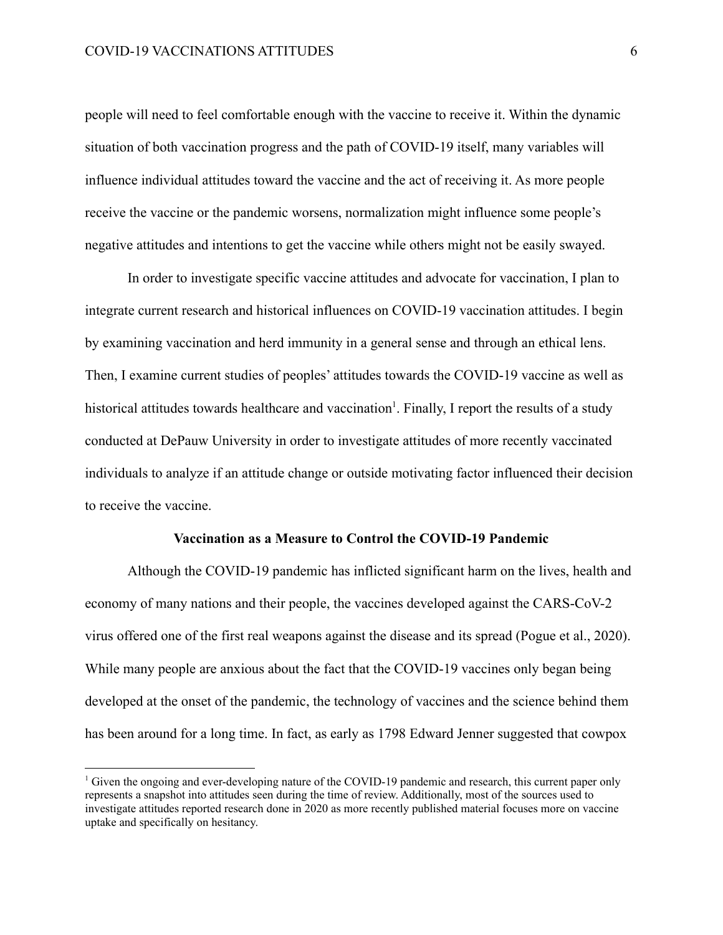people will need to feel comfortable enough with the vaccine to receive it. Within the dynamic situation of both vaccination progress and the path of COVID-19 itself, many variables will influence individual attitudes toward the vaccine and the act of receiving it. As more people receive the vaccine or the pandemic worsens, normalization might influence some people's negative attitudes and intentions to get the vaccine while others might not be easily swayed.

In order to investigate specific vaccine attitudes and advocate for vaccination, I plan to integrate current research and historical influences on COVID-19 vaccination attitudes. I begin by examining vaccination and herd immunity in a general sense and through an ethical lens. Then, I examine current studies of peoples' attitudes towards the COVID-19 vaccine as well as historical attitudes towards healthcare and vaccination<sup>1</sup>. Finally, I report the results of a study conducted at DePauw University in order to investigate attitudes of more recently vaccinated individuals to analyze if an attitude change or outside motivating factor influenced their decision to receive the vaccine.

#### **Vaccination as a Measure to Control the COVID-19 Pandemic**

Although the COVID-19 pandemic has inflicted significant harm on the lives, health and economy of many nations and their people, the vaccines developed against the CARS-CoV-2 virus offered one of the first real weapons against the disease and its spread (Pogue et al., 2020). While many people are anxious about the fact that the COVID-19 vaccines only began being developed at the onset of the pandemic, the technology of vaccines and the science behind them has been around for a long time. In fact, as early as 1798 Edward Jenner suggested that cowpox

<sup>&</sup>lt;sup>1</sup> Given the ongoing and ever-developing nature of the COVID-19 pandemic and research, this current paper only represents a snapshot into attitudes seen during the time of review. Additionally, most of the sources used to investigate attitudes reported research done in 2020 as more recently published material focuses more on vaccine uptake and specifically on hesitancy.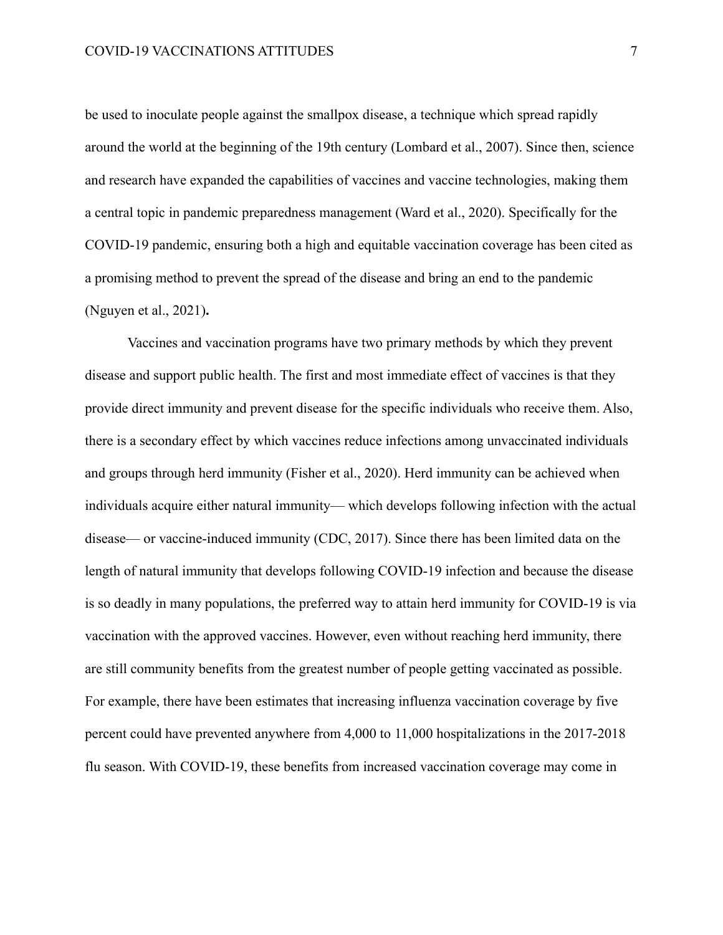be used to inoculate people against the smallpox disease, a technique which spread rapidly around the world at the beginning of the 19th century (Lombard et al., 2007). Since then, science and research have expanded the capabilities of vaccines and vaccine technologies, making them a central topic in pandemic preparedness management (Ward et al., 2020). Specifically for the COVID-19 pandemic, ensuring both a high and equitable vaccination coverage has been cited as a promising method to prevent the spread of the disease and bring an end to the pandemic (Nguyen et al., 2021)**.**

Vaccines and vaccination programs have two primary methods by which they prevent disease and support public health. The first and most immediate effect of vaccines is that they provide direct immunity and prevent disease for the specific individuals who receive them. Also, there is a secondary effect by which vaccines reduce infections among unvaccinated individuals and groups through herd immunity (Fisher et al., 2020). Herd immunity can be achieved when individuals acquire either natural immunity— which develops following infection with the actual disease— or vaccine-induced immunity (CDC, 2017). Since there has been limited data on the length of natural immunity that develops following COVID-19 infection and because the disease is so deadly in many populations, the preferred way to attain herd immunity for COVID-19 is via vaccination with the approved vaccines. However, even without reaching herd immunity, there are still community benefits from the greatest number of people getting vaccinated as possible. For example, there have been estimates that increasing influenza vaccination coverage by five percent could have prevented anywhere from 4,000 to 11,000 hospitalizations in the 2017-2018 flu season. With COVID-19, these benefits from increased vaccination coverage may come in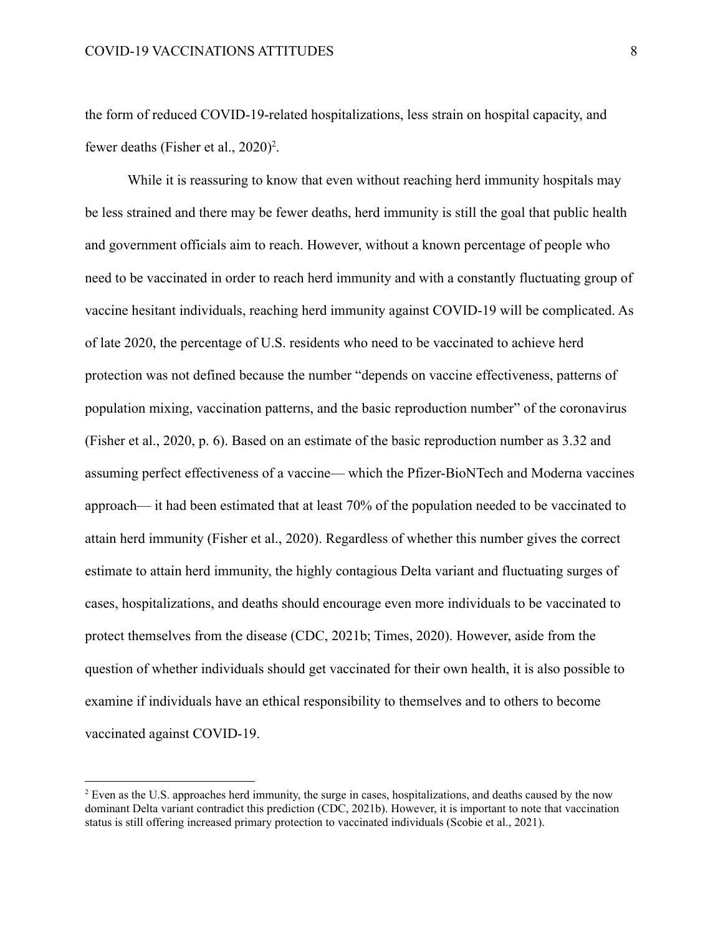the form of reduced COVID-19-related hospitalizations, less strain on hospital capacity, and fewer deaths (Fisher et al.,  $2020$ )<sup>2</sup>.

While it is reassuring to know that even without reaching herd immunity hospitals may be less strained and there may be fewer deaths, herd immunity is still the goal that public health and government officials aim to reach. However, without a known percentage of people who need to be vaccinated in order to reach herd immunity and with a constantly fluctuating group of vaccine hesitant individuals, reaching herd immunity against COVID-19 will be complicated. As of late 2020, the percentage of U.S. residents who need to be vaccinated to achieve herd protection was not defined because the number "depends on vaccine effectiveness, patterns of population mixing, vaccination patterns, and the basic reproduction number" of the coronavirus (Fisher et al., 2020, p. 6). Based on an estimate of the basic reproduction number as 3.32 and assuming perfect effectiveness of a vaccine— which the Pfizer-BioNTech and Moderna vaccines approach— it had been estimated that at least 70% of the population needed to be vaccinated to attain herd immunity (Fisher et al., 2020). Regardless of whether this number gives the correct estimate to attain herd immunity, the highly contagious Delta variant and fluctuating surges of cases, hospitalizations, and deaths should encourage even more individuals to be vaccinated to protect themselves from the disease (CDC, 2021b; Times, 2020). However, aside from the question of whether individuals should get vaccinated for their own health, it is also possible to examine if individuals have an ethical responsibility to themselves and to others to become vaccinated against COVID-19.

<sup>&</sup>lt;sup>2</sup> Even as the U.S. approaches herd immunity, the surge in cases, hospitalizations, and deaths caused by the now dominant Delta variant contradict this prediction (CDC, 2021b). However, it is important to note that vaccination status is still offering increased primary protection to vaccinated individuals (Scobie et al., 2021).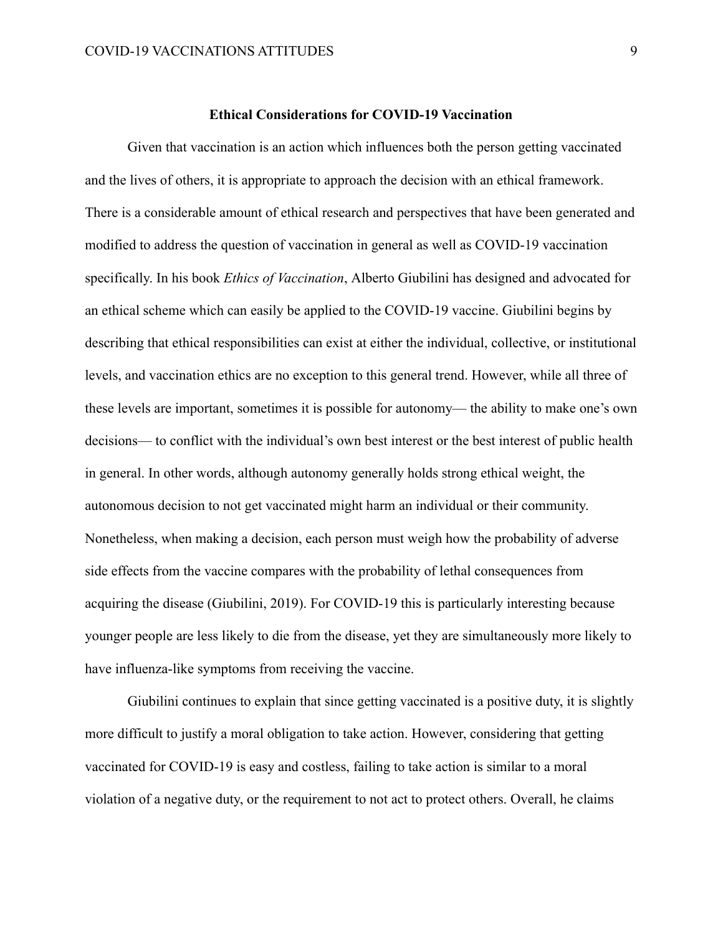Given that vaccination is an action which influences both the person getting vaccinated and the lives of others, it is appropriate to approach the decision with an ethical framework. There is a considerable amount of ethical research and perspectives that have been generated and modified to address the question of vaccination in general as well as COVID-19 vaccination specifically. In his book *Ethics of Vaccination*, Alberto Giubilini has designed and advocated for an ethical scheme which can easily be applied to the COVID-19 vaccine. Giubilini begins by describing that ethical responsibilities can exist at either the individual, collective, or institutional levels, and vaccination ethics are no exception to this general trend. However, while all three of these levels are important, sometimes it is possible for autonomy— the ability to make one's own decisions— to conflict with the individual's own best interest or the best interest of public health in general. In other words, although autonomy generally holds strong ethical weight, the autonomous decision to not get vaccinated might harm an individual or their community. Nonetheless, when making a decision, each person must weigh how the probability of adverse side effects from the vaccine compares with the probability of lethal consequences from acquiring the disease (Giubilini, 2019). For COVID-19 this is particularly interesting because younger people are less likely to die from the disease, yet they are simultaneously more likely to have influenza-like symptoms from receiving the vaccine.

Giubilini continues to explain that since getting vaccinated is a positive duty, it is slightly more difficult to justify a moral obligation to take action. However, considering that getting vaccinated for COVID-19 is easy and costless, failing to take action is similar to a moral violation of a negative duty, or the requirement to not act to protect others. Overall, he claims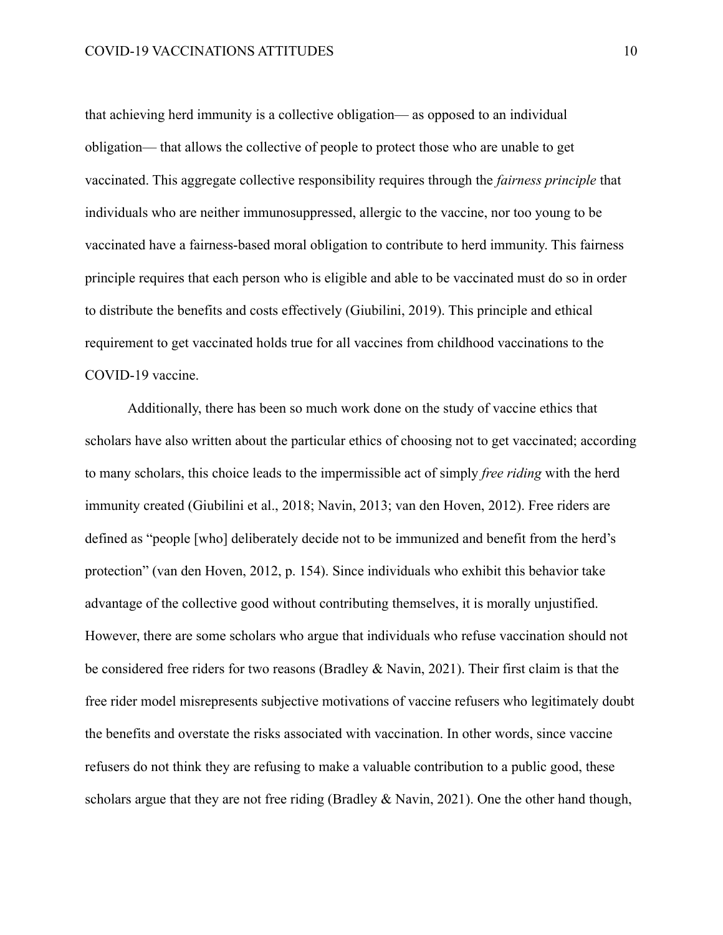that achieving herd immunity is a collective obligation— as opposed to an individual obligation— that allows the collective of people to protect those who are unable to get vaccinated. This aggregate collective responsibility requires through the *fairness principle* that individuals who are neither immunosuppressed, allergic to the vaccine, nor too young to be vaccinated have a fairness-based moral obligation to contribute to herd immunity. This fairness principle requires that each person who is eligible and able to be vaccinated must do so in order to distribute the benefits and costs effectively (Giubilini, 2019). This principle and ethical requirement to get vaccinated holds true for all vaccines from childhood vaccinations to the COVID-19 vaccine.

Additionally, there has been so much work done on the study of vaccine ethics that scholars have also written about the particular ethics of choosing not to get vaccinated; according to many scholars, this choice leads to the impermissible act of simply *free riding* with the herd immunity created (Giubilini et al., 2018; Navin, 2013; van den Hoven, 2012). Free riders are defined as "people [who] deliberately decide not to be immunized and benefit from the herd's protection" (van den Hoven, 2012, p. 154). Since individuals who exhibit this behavior take advantage of the collective good without contributing themselves, it is morally unjustified. However, there are some scholars who argue that individuals who refuse vaccination should not be considered free riders for two reasons (Bradley & Navin, 2021). Their first claim is that the free rider model misrepresents subjective motivations of vaccine refusers who legitimately doubt the benefits and overstate the risks associated with vaccination. In other words, since vaccine refusers do not think they are refusing to make a valuable contribution to a public good, these scholars argue that they are not free riding (Bradley & Navin, 2021). One the other hand though,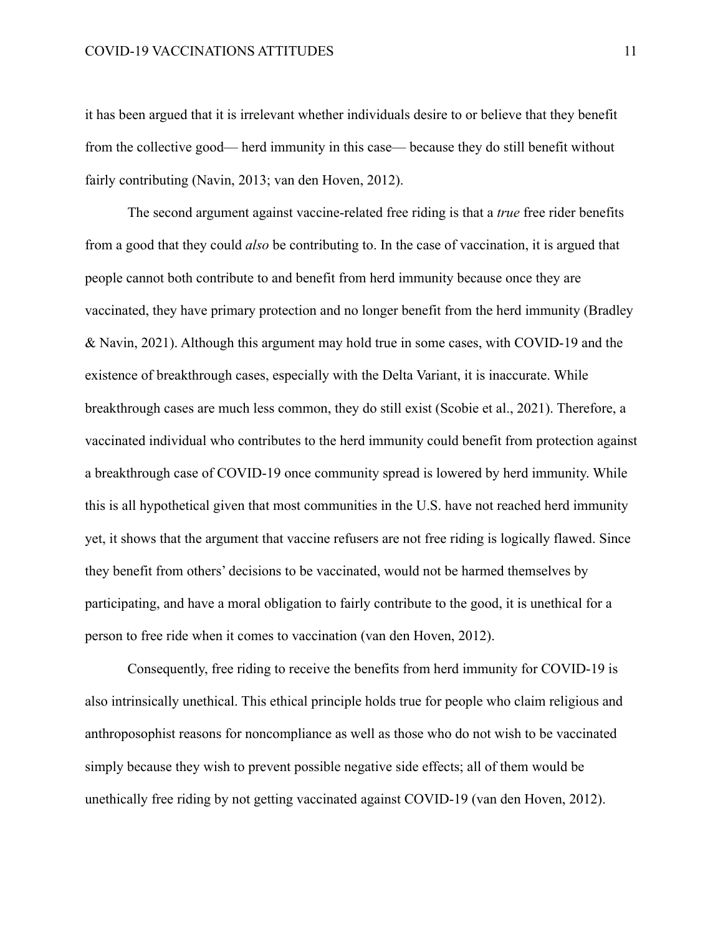it has been argued that it is irrelevant whether individuals desire to or believe that they benefit from the collective good— herd immunity in this case— because they do still benefit without fairly contributing (Navin, 2013; van den Hoven, 2012).

The second argument against vaccine-related free riding is that a *true* free rider benefits from a good that they could *also* be contributing to. In the case of vaccination, it is argued that people cannot both contribute to and benefit from herd immunity because once they are vaccinated, they have primary protection and no longer benefit from the herd immunity (Bradley & Navin, 2021). Although this argument may hold true in some cases, with COVID-19 and the existence of breakthrough cases, especially with the Delta Variant, it is inaccurate. While breakthrough cases are much less common, they do still exist (Scobie et al., 2021). Therefore, a vaccinated individual who contributes to the herd immunity could benefit from protection against a breakthrough case of COVID-19 once community spread is lowered by herd immunity. While this is all hypothetical given that most communities in the U.S. have not reached herd immunity yet, it shows that the argument that vaccine refusers are not free riding is logically flawed. Since they benefit from others' decisions to be vaccinated, would not be harmed themselves by participating, and have a moral obligation to fairly contribute to the good, it is unethical for a person to free ride when it comes to vaccination (van den Hoven, 2012).

Consequently, free riding to receive the benefits from herd immunity for COVID-19 is also intrinsically unethical. This ethical principle holds true for people who claim religious and anthroposophist reasons for noncompliance as well as those who do not wish to be vaccinated simply because they wish to prevent possible negative side effects; all of them would be unethically free riding by not getting vaccinated against COVID-19 (van den Hoven, 2012).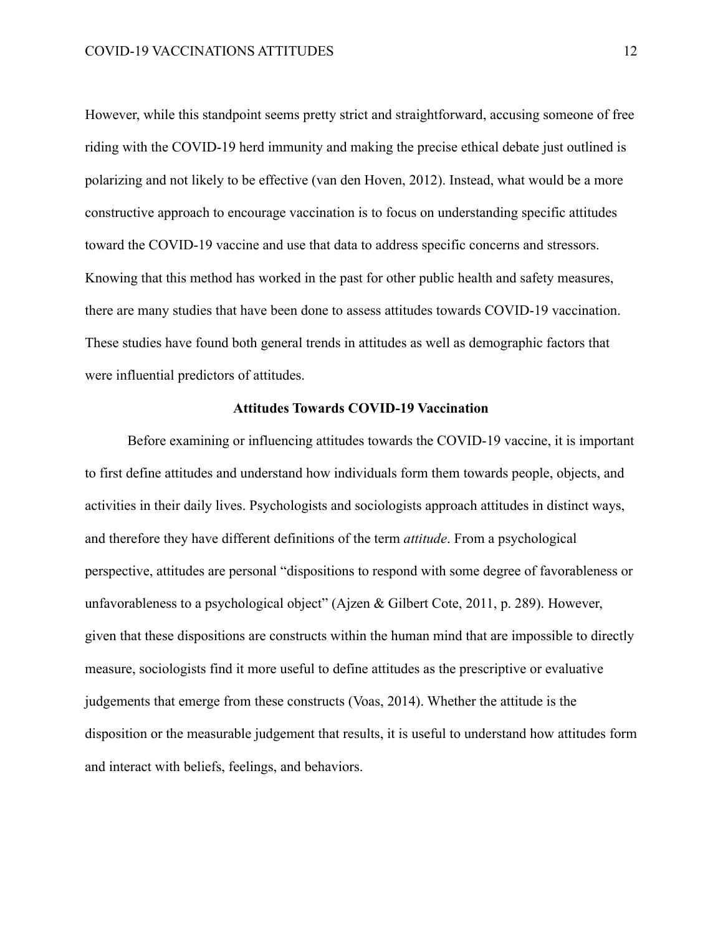However, while this standpoint seems pretty strict and straightforward, accusing someone of free riding with the COVID-19 herd immunity and making the precise ethical debate just outlined is polarizing and not likely to be effective (van den Hoven, 2012). Instead, what would be a more constructive approach to encourage vaccination is to focus on understanding specific attitudes toward the COVID-19 vaccine and use that data to address specific concerns and stressors. Knowing that this method has worked in the past for other public health and safety measures, there are many studies that have been done to assess attitudes towards COVID-19 vaccination. These studies have found both general trends in attitudes as well as demographic factors that were influential predictors of attitudes.

#### **Attitudes Towards COVID-19 Vaccination**

Before examining or influencing attitudes towards the COVID-19 vaccine, it is important to first define attitudes and understand how individuals form them towards people, objects, and activities in their daily lives. Psychologists and sociologists approach attitudes in distinct ways, and therefore they have different definitions of the term *attitude*. From a psychological perspective, attitudes are personal "dispositions to respond with some degree of favorableness or unfavorableness to a psychological object" (Ajzen & Gilbert Cote, 2011, p. 289). However, given that these dispositions are constructs within the human mind that are impossible to directly measure, sociologists find it more useful to define attitudes as the prescriptive or evaluative judgements that emerge from these constructs (Voas, 2014). Whether the attitude is the disposition or the measurable judgement that results, it is useful to understand how attitudes form and interact with beliefs, feelings, and behaviors.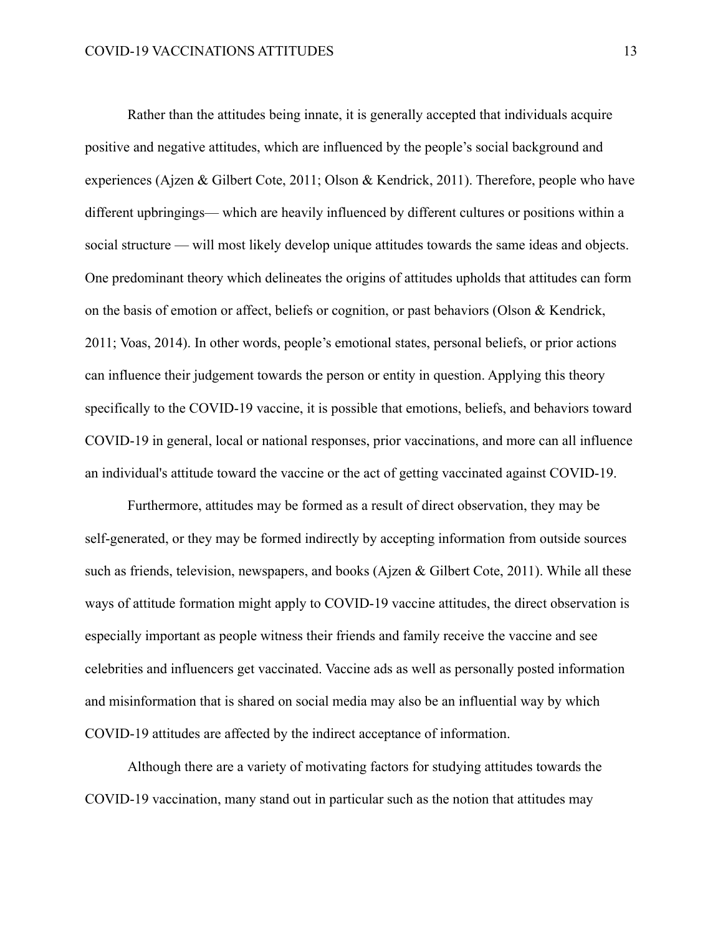Rather than the attitudes being innate, it is generally accepted that individuals acquire positive and negative attitudes, which are influenced by the people's social background and experiences (Ajzen & Gilbert Cote, 2011; Olson & Kendrick, 2011). Therefore, people who have different upbringings— which are heavily influenced by different cultures or positions within a social structure — will most likely develop unique attitudes towards the same ideas and objects. One predominant theory which delineates the origins of attitudes upholds that attitudes can form on the basis of emotion or affect, beliefs or cognition, or past behaviors (Olson & Kendrick, 2011; Voas, 2014). In other words, people's emotional states, personal beliefs, or prior actions can influence their judgement towards the person or entity in question. Applying this theory specifically to the COVID-19 vaccine, it is possible that emotions, beliefs, and behaviors toward COVID-19 in general, local or national responses, prior vaccinations, and more can all influence an individual's attitude toward the vaccine or the act of getting vaccinated against COVID-19.

Furthermore, attitudes may be formed as a result of direct observation, they may be self-generated, or they may be formed indirectly by accepting information from outside sources such as friends, television, newspapers, and books (Ajzen & Gilbert Cote, 2011). While all these ways of attitude formation might apply to COVID-19 vaccine attitudes, the direct observation is especially important as people witness their friends and family receive the vaccine and see celebrities and influencers get vaccinated. Vaccine ads as well as personally posted information and misinformation that is shared on social media may also be an influential way by which COVID-19 attitudes are affected by the indirect acceptance of information.

Although there are a variety of motivating factors for studying attitudes towards the COVID-19 vaccination, many stand out in particular such as the notion that attitudes may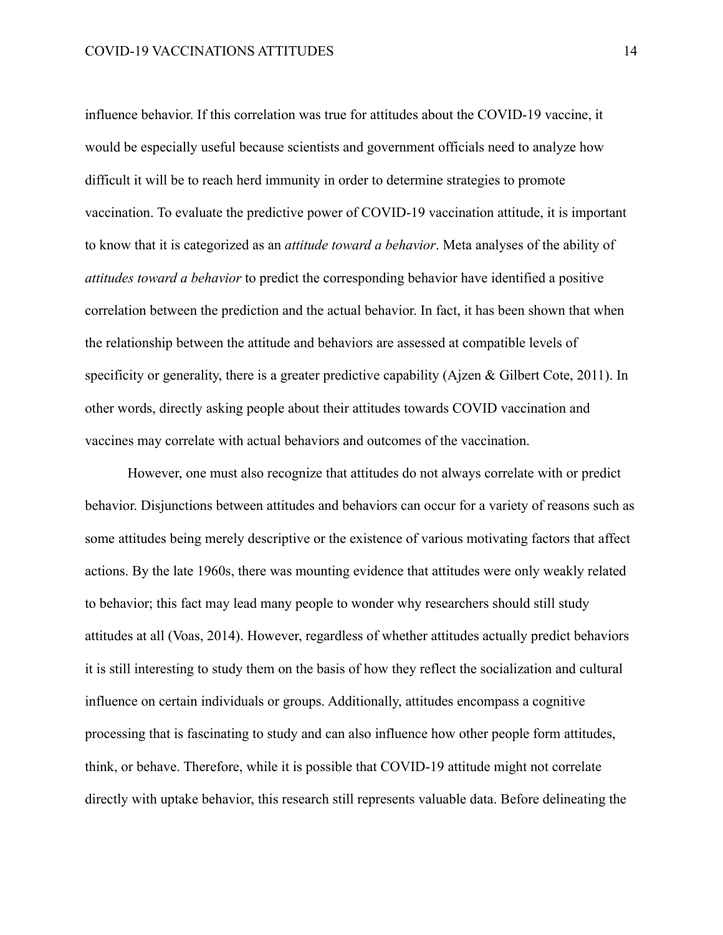influence behavior. If this correlation was true for attitudes about the COVID-19 vaccine, it would be especially useful because scientists and government officials need to analyze how difficult it will be to reach herd immunity in order to determine strategies to promote vaccination. To evaluate the predictive power of COVID-19 vaccination attitude, it is important to know that it is categorized as an *attitude toward a behavior*. Meta analyses of the ability of *attitudes toward a behavior* to predict the corresponding behavior have identified a positive correlation between the prediction and the actual behavior. In fact, it has been shown that when the relationship between the attitude and behaviors are assessed at compatible levels of specificity or generality, there is a greater predictive capability (Ajzen & Gilbert Cote, 2011). In other words, directly asking people about their attitudes towards COVID vaccination and vaccines may correlate with actual behaviors and outcomes of the vaccination.

However, one must also recognize that attitudes do not always correlate with or predict behavior. Disjunctions between attitudes and behaviors can occur for a variety of reasons such as some attitudes being merely descriptive or the existence of various motivating factors that affect actions. By the late 1960s, there was mounting evidence that attitudes were only weakly related to behavior; this fact may lead many people to wonder why researchers should still study attitudes at all (Voas, 2014). However, regardless of whether attitudes actually predict behaviors it is still interesting to study them on the basis of how they reflect the socialization and cultural influence on certain individuals or groups. Additionally, attitudes encompass a cognitive processing that is fascinating to study and can also influence how other people form attitudes, think, or behave. Therefore, while it is possible that COVID-19 attitude might not correlate directly with uptake behavior, this research still represents valuable data. Before delineating the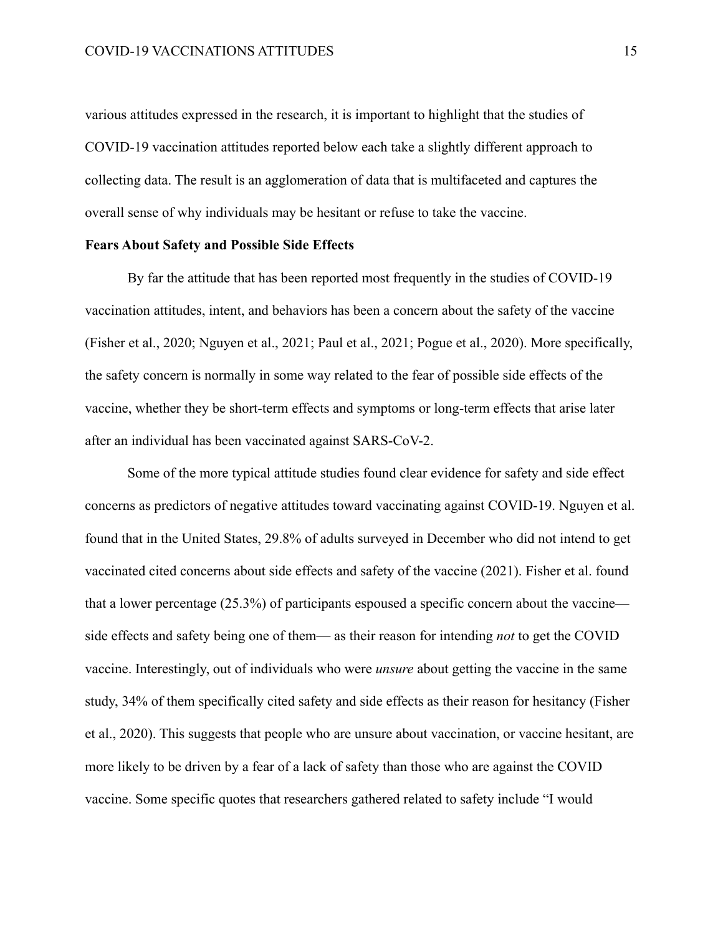various attitudes expressed in the research, it is important to highlight that the studies of COVID-19 vaccination attitudes reported below each take a slightly different approach to collecting data. The result is an agglomeration of data that is multifaceted and captures the overall sense of why individuals may be hesitant or refuse to take the vaccine.

#### **Fears About Safety and Possible Side Effects**

By far the attitude that has been reported most frequently in the studies of COVID-19 vaccination attitudes, intent, and behaviors has been a concern about the safety of the vaccine (Fisher et al., 2020; Nguyen et al., 2021; Paul et al., 2021; Pogue et al., 2020). More specifically, the safety concern is normally in some way related to the fear of possible side effects of the vaccine, whether they be short-term effects and symptoms or long-term effects that arise later after an individual has been vaccinated against SARS-CoV-2.

Some of the more typical attitude studies found clear evidence for safety and side effect concerns as predictors of negative attitudes toward vaccinating against COVID-19. Nguyen et al. found that in the United States, 29.8% of adults surveyed in December who did not intend to get vaccinated cited concerns about side effects and safety of the vaccine (2021). Fisher et al. found that a lower percentage (25.3%) of participants espoused a specific concern about the vaccine side effects and safety being one of them— as their reason for intending *not* to get the COVID vaccine. Interestingly, out of individuals who were *unsure* about getting the vaccine in the same study, 34% of them specifically cited safety and side effects as their reason for hesitancy (Fisher et al., 2020). This suggests that people who are unsure about vaccination, or vaccine hesitant, are more likely to be driven by a fear of a lack of safety than those who are against the COVID vaccine. Some specific quotes that researchers gathered related to safety include "I would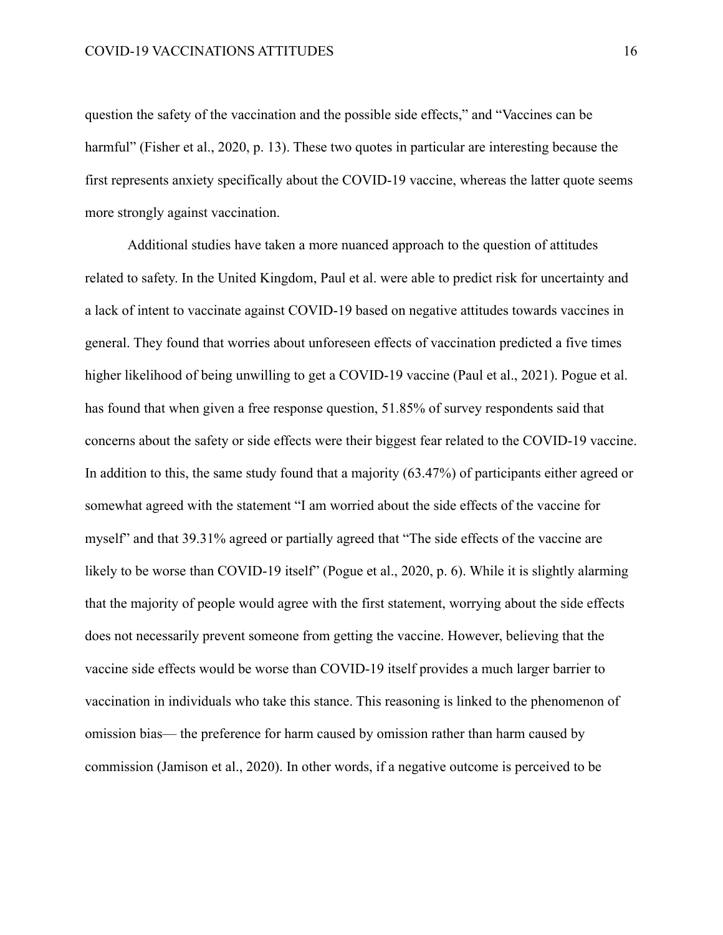question the safety of the vaccination and the possible side effects," and "Vaccines can be harmful" (Fisher et al., 2020, p. 13). These two quotes in particular are interesting because the first represents anxiety specifically about the COVID-19 vaccine, whereas the latter quote seems more strongly against vaccination.

Additional studies have taken a more nuanced approach to the question of attitudes related to safety. In the United Kingdom, Paul et al. were able to predict risk for uncertainty and a lack of intent to vaccinate against COVID-19 based on negative attitudes towards vaccines in general. They found that worries about unforeseen effects of vaccination predicted a five times higher likelihood of being unwilling to get a COVID-19 vaccine (Paul et al., 2021). Pogue et al. has found that when given a free response question, 51.85% of survey respondents said that concerns about the safety or side effects were their biggest fear related to the COVID-19 vaccine. In addition to this, the same study found that a majority (63.47%) of participants either agreed or somewhat agreed with the statement "I am worried about the side effects of the vaccine for myself" and that 39.31% agreed or partially agreed that "The side effects of the vaccine are likely to be worse than COVID-19 itself" (Pogue et al., 2020, p. 6). While it is slightly alarming that the majority of people would agree with the first statement, worrying about the side effects does not necessarily prevent someone from getting the vaccine. However, believing that the vaccine side effects would be worse than COVID-19 itself provides a much larger barrier to vaccination in individuals who take this stance. This reasoning is linked to the phenomenon of omission bias— the preference for harm caused by omission rather than harm caused by commission (Jamison et al., 2020). In other words, if a negative outcome is perceived to be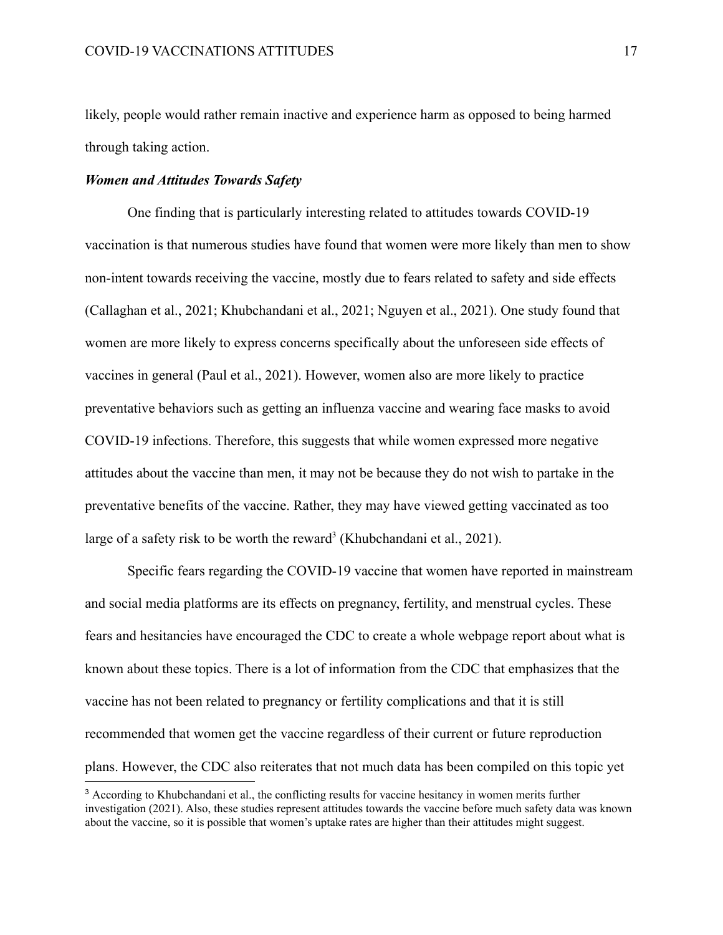likely, people would rather remain inactive and experience harm as opposed to being harmed through taking action.

#### *Women and Attitudes Towards Safety*

One finding that is particularly interesting related to attitudes towards COVID-19 vaccination is that numerous studies have found that women were more likely than men to show non-intent towards receiving the vaccine, mostly due to fears related to safety and side effects (Callaghan et al., 2021; Khubchandani et al., 2021; Nguyen et al., 2021). One study found that women are more likely to express concerns specifically about the unforeseen side effects of vaccines in general (Paul et al., 2021). However, women also are more likely to practice preventative behaviors such as getting an influenza vaccine and wearing face masks to avoid COVID-19 infections. Therefore, this suggests that while women expressed more negative attitudes about the vaccine than men, it may not be because they do not wish to partake in the preventative benefits of the vaccine. Rather, they may have viewed getting vaccinated as too large of a safety risk to be worth the reward<sup>3</sup> (Khubchandani et al., 2021).

Specific fears regarding the COVID-19 vaccine that women have reported in mainstream and social media platforms are its effects on pregnancy, fertility, and menstrual cycles. These fears and hesitancies have encouraged the CDC to create a whole webpage report about what is known about these topics. There is a lot of information from the CDC that emphasizes that the vaccine has not been related to pregnancy or fertility complications and that it is still recommended that women get the vaccine regardless of their current or future reproduction plans. However, the CDC also reiterates that not much data has been compiled on this topic yet

<sup>&</sup>lt;sup>3</sup> According to Khubchandani et al., the conflicting results for vaccine hesitancy in women merits further investigation (2021). Also, these studies represent attitudes towards the vaccine before much safety data was known about the vaccine, so it is possible that women's uptake rates are higher than their attitudes might suggest.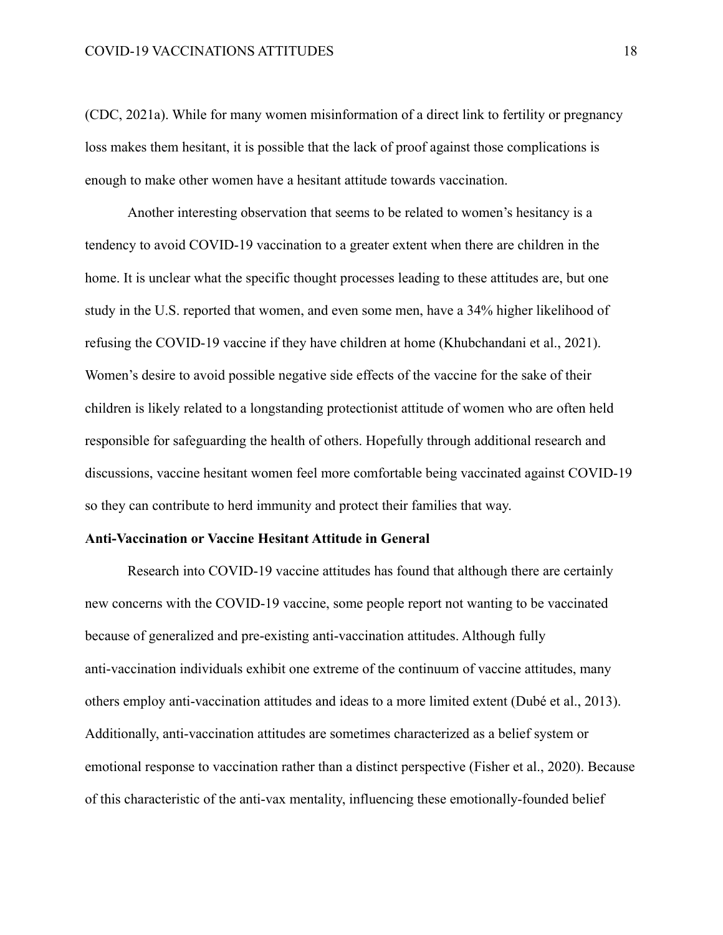(CDC, 2021a). While for many women misinformation of a direct link to fertility or pregnancy loss makes them hesitant, it is possible that the lack of proof against those complications is enough to make other women have a hesitant attitude towards vaccination.

Another interesting observation that seems to be related to women's hesitancy is a tendency to avoid COVID-19 vaccination to a greater extent when there are children in the home. It is unclear what the specific thought processes leading to these attitudes are, but one study in the U.S. reported that women, and even some men, have a 34% higher likelihood of refusing the COVID-19 vaccine if they have children at home (Khubchandani et al., 2021). Women's desire to avoid possible negative side effects of the vaccine for the sake of their children is likely related to a longstanding protectionist attitude of women who are often held responsible for safeguarding the health of others. Hopefully through additional research and discussions, vaccine hesitant women feel more comfortable being vaccinated against COVID-19 so they can contribute to herd immunity and protect their families that way.

#### **Anti-Vaccination or Vaccine Hesitant Attitude in General**

Research into COVID-19 vaccine attitudes has found that although there are certainly new concerns with the COVID-19 vaccine, some people report not wanting to be vaccinated because of generalized and pre-existing anti-vaccination attitudes. Although fully anti-vaccination individuals exhibit one extreme of the continuum of vaccine attitudes, many others employ anti-vaccination attitudes and ideas to a more limited extent (Dubé et al., 2013). Additionally, anti-vaccination attitudes are sometimes characterized as a belief system or emotional response to vaccination rather than a distinct perspective (Fisher et al., 2020). Because of this characteristic of the anti-vax mentality, influencing these emotionally-founded belief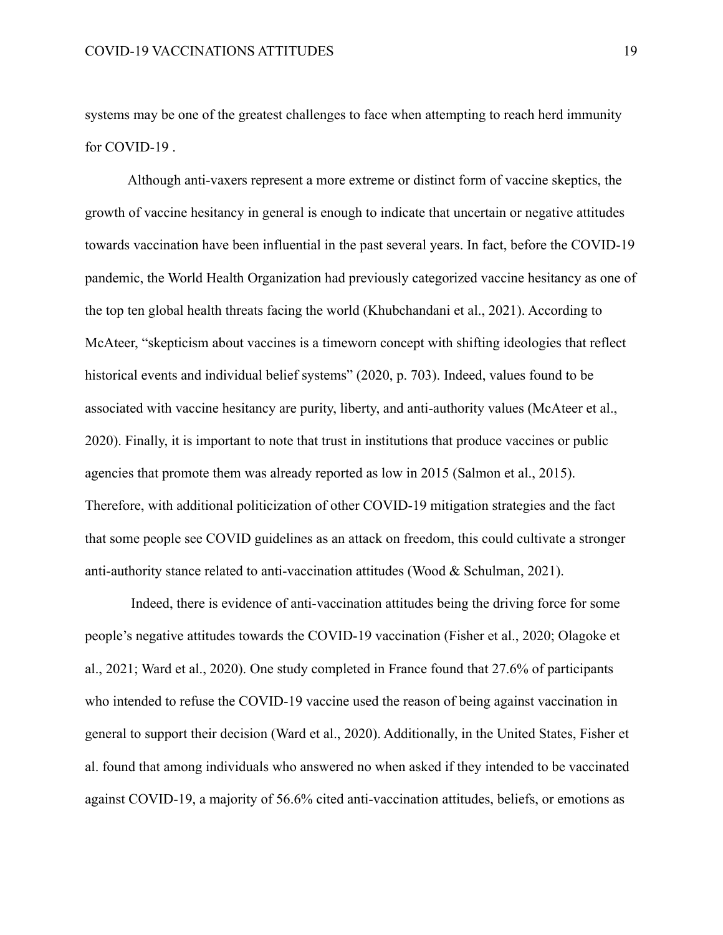systems may be one of the greatest challenges to face when attempting to reach herd immunity for COVID-19 .

Although anti-vaxers represent a more extreme or distinct form of vaccine skeptics, the growth of vaccine hesitancy in general is enough to indicate that uncertain or negative attitudes towards vaccination have been influential in the past several years. In fact, before the COVID-19 pandemic, the World Health Organization had previously categorized vaccine hesitancy as one of the top ten global health threats facing the world (Khubchandani et al., 2021). According to McAteer, "skepticism about vaccines is a timeworn concept with shifting ideologies that reflect historical events and individual belief systems" (2020, p. 703). Indeed, values found to be associated with vaccine hesitancy are purity, liberty, and anti-authority values (McAteer et al., 2020). Finally, it is important to note that trust in institutions that produce vaccines or public agencies that promote them was already reported as low in 2015 (Salmon et al., 2015). Therefore, with additional politicization of other COVID-19 mitigation strategies and the fact that some people see COVID guidelines as an attack on freedom, this could cultivate a stronger anti-authority stance related to anti-vaccination attitudes (Wood & Schulman, 2021).

Indeed, there is evidence of anti-vaccination attitudes being the driving force for some people's negative attitudes towards the COVID-19 vaccination (Fisher et al., 2020; Olagoke et al., 2021; Ward et al., 2020). One study completed in France found that 27.6% of participants who intended to refuse the COVID-19 vaccine used the reason of being against vaccination in general to support their decision (Ward et al., 2020). Additionally, in the United States, Fisher et al. found that among individuals who answered no when asked if they intended to be vaccinated against COVID-19, a majority of 56.6% cited anti-vaccination attitudes, beliefs, or emotions as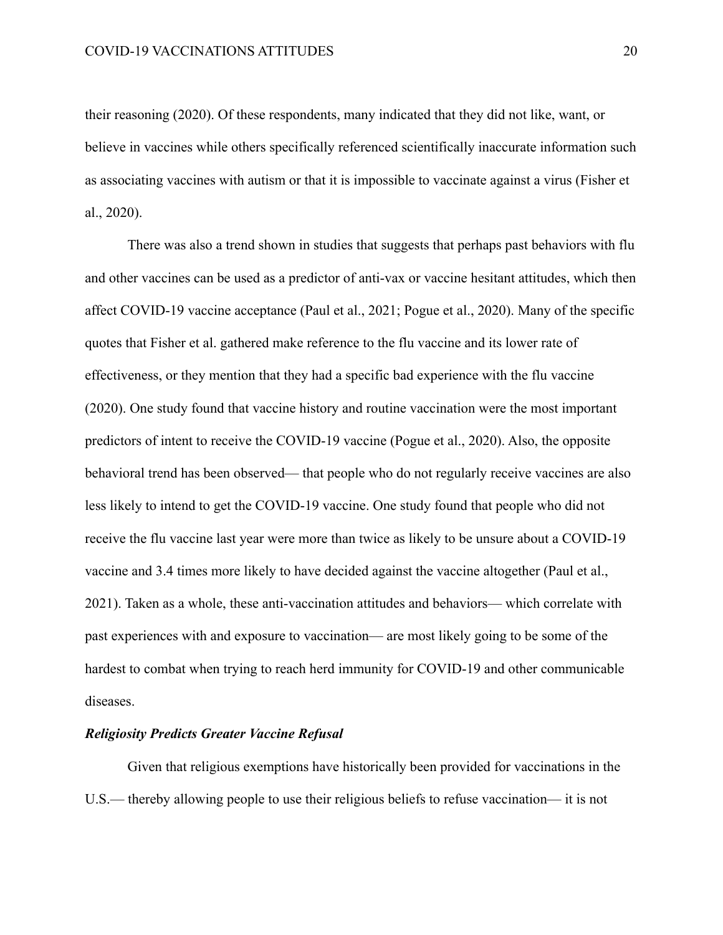their reasoning (2020). Of these respondents, many indicated that they did not like, want, or believe in vaccines while others specifically referenced scientifically inaccurate information such as associating vaccines with autism or that it is impossible to vaccinate against a virus (Fisher et al., 2020).

There was also a trend shown in studies that suggests that perhaps past behaviors with flu and other vaccines can be used as a predictor of anti-vax or vaccine hesitant attitudes, which then affect COVID-19 vaccine acceptance (Paul et al., 2021; Pogue et al., 2020). Many of the specific quotes that Fisher et al. gathered make reference to the flu vaccine and its lower rate of effectiveness, or they mention that they had a specific bad experience with the flu vaccine (2020). One study found that vaccine history and routine vaccination were the most important predictors of intent to receive the COVID-19 vaccine (Pogue et al., 2020). Also, the opposite behavioral trend has been observed— that people who do not regularly receive vaccines are also less likely to intend to get the COVID-19 vaccine. One study found that people who did not receive the flu vaccine last year were more than twice as likely to be unsure about a COVID-19 vaccine and 3.4 times more likely to have decided against the vaccine altogether (Paul et al., 2021). Taken as a whole, these anti-vaccination attitudes and behaviors— which correlate with past experiences with and exposure to vaccination— are most likely going to be some of the hardest to combat when trying to reach herd immunity for COVID-19 and other communicable diseases.

#### *Religiosity Predicts Greater Vaccine Refusal*

Given that religious exemptions have historically been provided for vaccinations in the U.S.— thereby allowing people to use their religious beliefs to refuse vaccination— it is not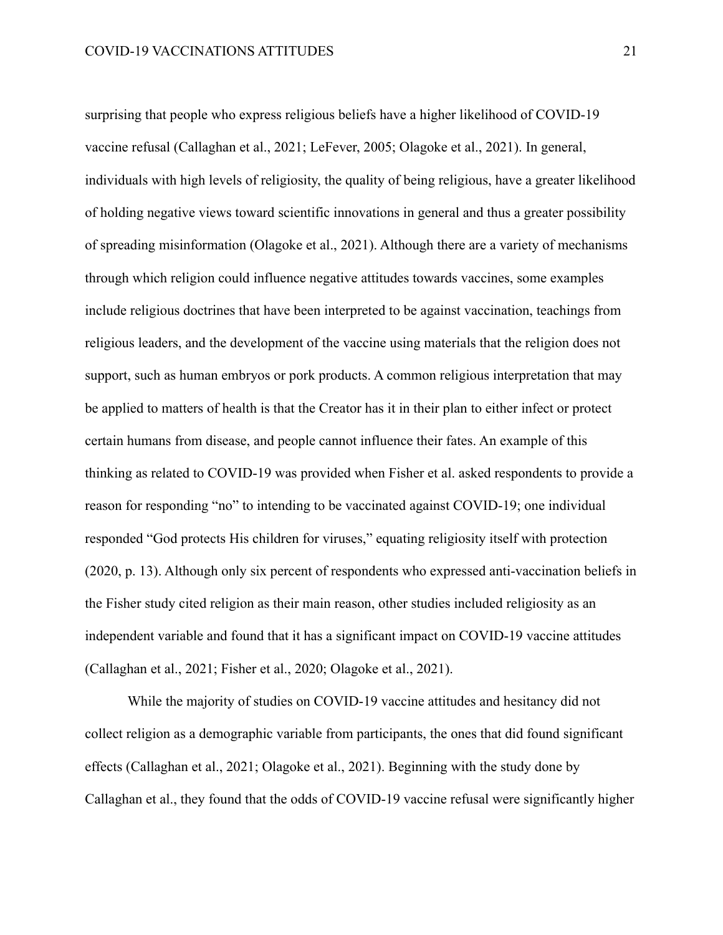surprising that people who express religious beliefs have a higher likelihood of COVID-19 vaccine refusal (Callaghan et al., 2021; LeFever, 2005; Olagoke et al., 2021). In general, individuals with high levels of religiosity, the quality of being religious, have a greater likelihood of holding negative views toward scientific innovations in general and thus a greater possibility of spreading misinformation (Olagoke et al., 2021). Although there are a variety of mechanisms through which religion could influence negative attitudes towards vaccines, some examples include religious doctrines that have been interpreted to be against vaccination, teachings from religious leaders, and the development of the vaccine using materials that the religion does not support, such as human embryos or pork products. A common religious interpretation that may be applied to matters of health is that the Creator has it in their plan to either infect or protect certain humans from disease, and people cannot influence their fates. An example of this thinking as related to COVID-19 was provided when Fisher et al. asked respondents to provide a reason for responding "no" to intending to be vaccinated against COVID-19; one individual responded "God protects His children for viruses," equating religiosity itself with protection (2020, p. 13). Although only six percent of respondents who expressed anti-vaccination beliefs in the Fisher study cited religion as their main reason, other studies included religiosity as an independent variable and found that it has a significant impact on COVID-19 vaccine attitudes (Callaghan et al., 2021; Fisher et al., 2020; Olagoke et al., 2021).

While the majority of studies on COVID-19 vaccine attitudes and hesitancy did not collect religion as a demographic variable from participants, the ones that did found significant effects (Callaghan et al., 2021; Olagoke et al., 2021). Beginning with the study done by Callaghan et al., they found that the odds of COVID-19 vaccine refusal were significantly higher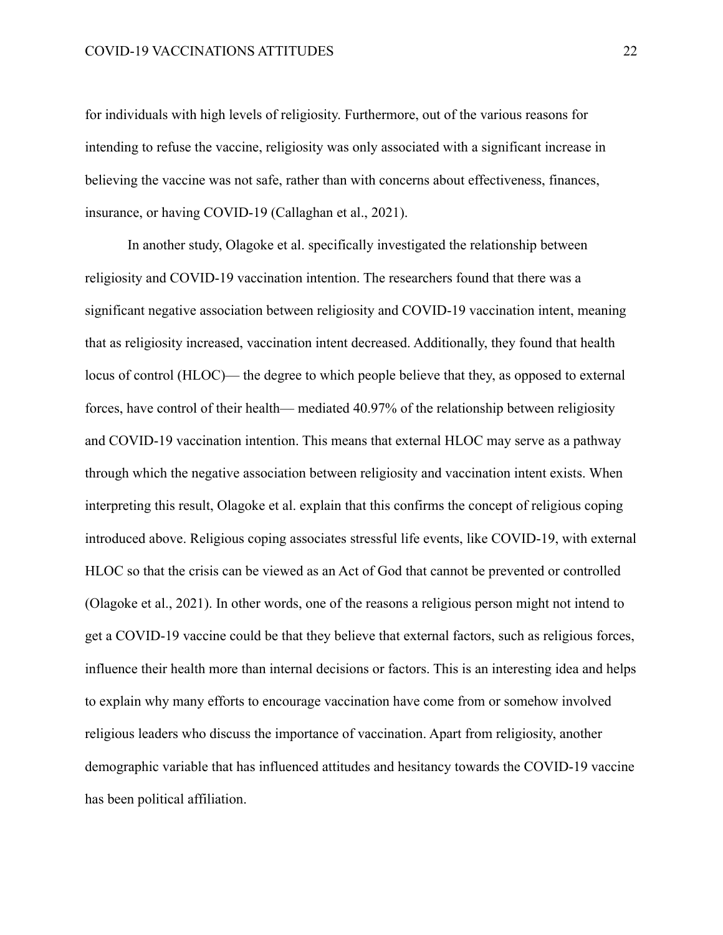for individuals with high levels of religiosity. Furthermore, out of the various reasons for intending to refuse the vaccine, religiosity was only associated with a significant increase in believing the vaccine was not safe, rather than with concerns about effectiveness, finances, insurance, or having COVID-19 (Callaghan et al., 2021).

In another study, Olagoke et al. specifically investigated the relationship between religiosity and COVID-19 vaccination intention. The researchers found that there was a significant negative association between religiosity and COVID-19 vaccination intent, meaning that as religiosity increased, vaccination intent decreased. Additionally, they found that health locus of control (HLOC)— the degree to which people believe that they, as opposed to external forces, have control of their health— mediated 40.97% of the relationship between religiosity and COVID-19 vaccination intention. This means that external HLOC may serve as a pathway through which the negative association between religiosity and vaccination intent exists. When interpreting this result, Olagoke et al. explain that this confirms the concept of religious coping introduced above. Religious coping associates stressful life events, like COVID-19, with external HLOC so that the crisis can be viewed as an Act of God that cannot be prevented or controlled (Olagoke et al., 2021). In other words, one of the reasons a religious person might not intend to get a COVID-19 vaccine could be that they believe that external factors, such as religious forces, influence their health more than internal decisions or factors. This is an interesting idea and helps to explain why many efforts to encourage vaccination have come from or somehow involved religious leaders who discuss the importance of vaccination. Apart from religiosity, another demographic variable that has influenced attitudes and hesitancy towards the COVID-19 vaccine has been political affiliation.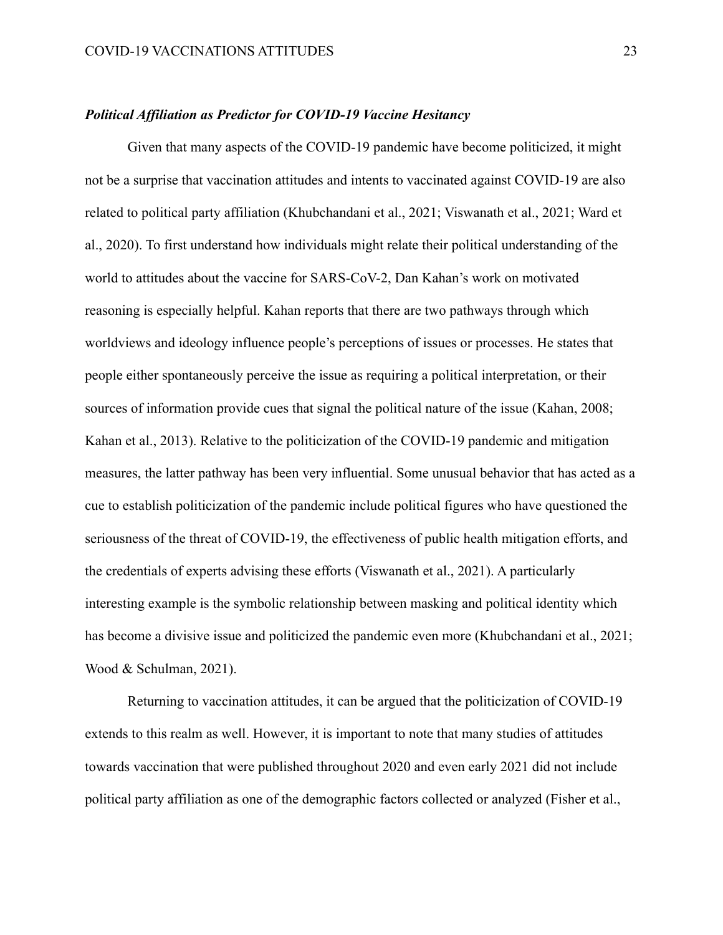#### *Political Affiliation as Predictor for COVID-19 Vaccine Hesitancy*

Given that many aspects of the COVID-19 pandemic have become politicized, it might not be a surprise that vaccination attitudes and intents to vaccinated against COVID-19 are also related to political party affiliation (Khubchandani et al., 2021; Viswanath et al., 2021; Ward et al., 2020). To first understand how individuals might relate their political understanding of the world to attitudes about the vaccine for SARS-CoV-2, Dan Kahan's work on motivated reasoning is especially helpful. Kahan reports that there are two pathways through which worldviews and ideology influence people's perceptions of issues or processes. He states that people either spontaneously perceive the issue as requiring a political interpretation, or their sources of information provide cues that signal the political nature of the issue (Kahan, 2008; Kahan et al., 2013). Relative to the politicization of the COVID-19 pandemic and mitigation measures, the latter pathway has been very influential. Some unusual behavior that has acted as a cue to establish politicization of the pandemic include political figures who have questioned the seriousness of the threat of COVID-19, the effectiveness of public health mitigation efforts, and the credentials of experts advising these efforts (Viswanath et al., 2021). A particularly interesting example is the symbolic relationship between masking and political identity which has become a divisive issue and politicized the pandemic even more (Khubchandani et al., 2021; Wood & Schulman, 2021).

Returning to vaccination attitudes, it can be argued that the politicization of COVID-19 extends to this realm as well. However, it is important to note that many studies of attitudes towards vaccination that were published throughout 2020 and even early 2021 did not include political party affiliation as one of the demographic factors collected or analyzed (Fisher et al.,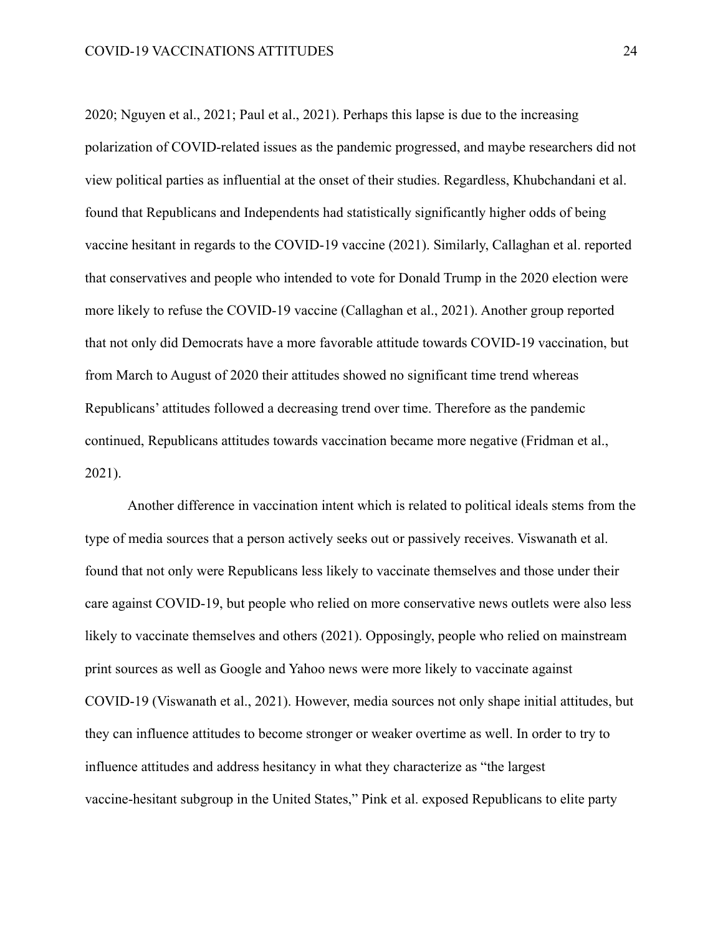2020; Nguyen et al., 2021; Paul et al., 2021). Perhaps this lapse is due to the increasing polarization of COVID-related issues as the pandemic progressed, and maybe researchers did not view political parties as influential at the onset of their studies. Regardless, Khubchandani et al. found that Republicans and Independents had statistically significantly higher odds of being vaccine hesitant in regards to the COVID-19 vaccine (2021). Similarly, Callaghan et al. reported that conservatives and people who intended to vote for Donald Trump in the 2020 election were more likely to refuse the COVID-19 vaccine (Callaghan et al., 2021). Another group reported that not only did Democrats have a more favorable attitude towards COVID-19 vaccination, but from March to August of 2020 their attitudes showed no significant time trend whereas Republicans' attitudes followed a decreasing trend over time. Therefore as the pandemic continued, Republicans attitudes towards vaccination became more negative (Fridman et al., 2021).

Another difference in vaccination intent which is related to political ideals stems from the type of media sources that a person actively seeks out or passively receives. Viswanath et al. found that not only were Republicans less likely to vaccinate themselves and those under their care against COVID-19, but people who relied on more conservative news outlets were also less likely to vaccinate themselves and others (2021). Opposingly, people who relied on mainstream print sources as well as Google and Yahoo news were more likely to vaccinate against COVID-19 (Viswanath et al., 2021). However, media sources not only shape initial attitudes, but they can influence attitudes to become stronger or weaker overtime as well. In order to try to influence attitudes and address hesitancy in what they characterize as "the largest vaccine-hesitant subgroup in the United States," Pink et al. exposed Republicans to elite party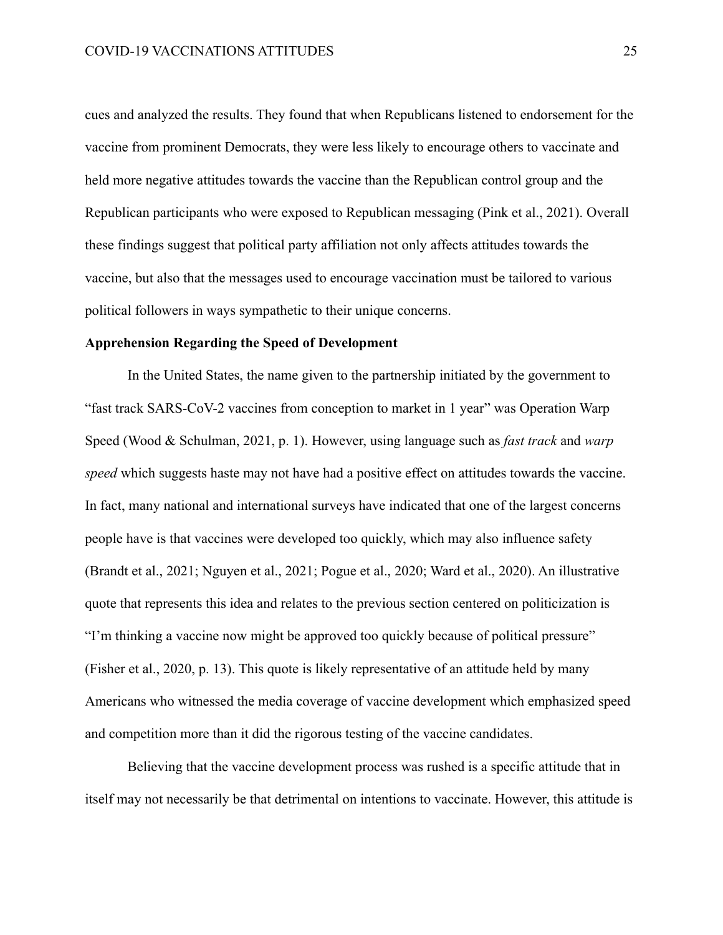cues and analyzed the results. They found that when Republicans listened to endorsement for the vaccine from prominent Democrats, they were less likely to encourage others to vaccinate and held more negative attitudes towards the vaccine than the Republican control group and the Republican participants who were exposed to Republican messaging (Pink et al., 2021). Overall these findings suggest that political party affiliation not only affects attitudes towards the vaccine, but also that the messages used to encourage vaccination must be tailored to various political followers in ways sympathetic to their unique concerns.

#### **Apprehension Regarding the Speed of Development**

In the United States, the name given to the partnership initiated by the government to "fast track SARS-CoV-2 vaccines from conception to market in 1 year" was Operation Warp Speed (Wood & Schulman, 2021, p. 1). However, using language such as *fast track* and *warp speed* which suggests haste may not have had a positive effect on attitudes towards the vaccine. In fact, many national and international surveys have indicated that one of the largest concerns people have is that vaccines were developed too quickly, which may also influence safety (Brandt et al., 2021; Nguyen et al., 2021; Pogue et al., 2020; Ward et al., 2020). An illustrative quote that represents this idea and relates to the previous section centered on politicization is "I'm thinking a vaccine now might be approved too quickly because of political pressure" (Fisher et al., 2020, p. 13). This quote is likely representative of an attitude held by many Americans who witnessed the media coverage of vaccine development which emphasized speed and competition more than it did the rigorous testing of the vaccine candidates.

Believing that the vaccine development process was rushed is a specific attitude that in itself may not necessarily be that detrimental on intentions to vaccinate. However, this attitude is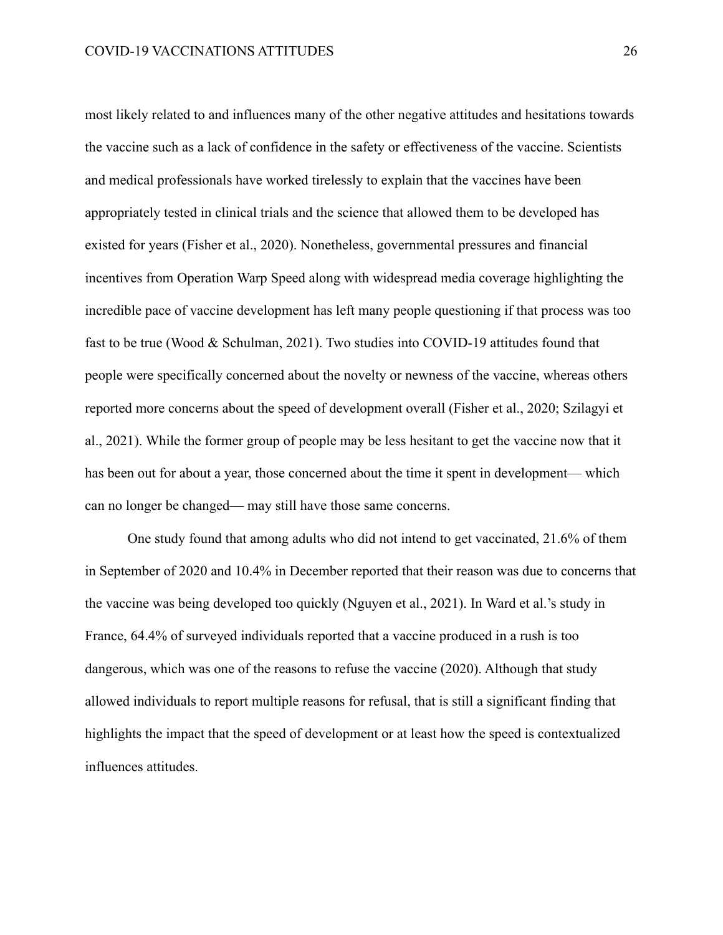most likely related to and influences many of the other negative attitudes and hesitations towards the vaccine such as a lack of confidence in the safety or effectiveness of the vaccine. Scientists and medical professionals have worked tirelessly to explain that the vaccines have been appropriately tested in clinical trials and the science that allowed them to be developed has existed for years (Fisher et al., 2020). Nonetheless, governmental pressures and financial incentives from Operation Warp Speed along with widespread media coverage highlighting the incredible pace of vaccine development has left many people questioning if that process was too fast to be true (Wood & Schulman, 2021). Two studies into COVID-19 attitudes found that people were specifically concerned about the novelty or newness of the vaccine, whereas others reported more concerns about the speed of development overall (Fisher et al., 2020; Szilagyi et al., 2021). While the former group of people may be less hesitant to get the vaccine now that it has been out for about a year, those concerned about the time it spent in development— which can no longer be changed— may still have those same concerns.

One study found that among adults who did not intend to get vaccinated, 21.6% of them in September of 2020 and 10.4% in December reported that their reason was due to concerns that the vaccine was being developed too quickly (Nguyen et al., 2021). In Ward et al.'s study in France, 64.4% of surveyed individuals reported that a vaccine produced in a rush is too dangerous, which was one of the reasons to refuse the vaccine (2020). Although that study allowed individuals to report multiple reasons for refusal, that is still a significant finding that highlights the impact that the speed of development or at least how the speed is contextualized influences attitudes.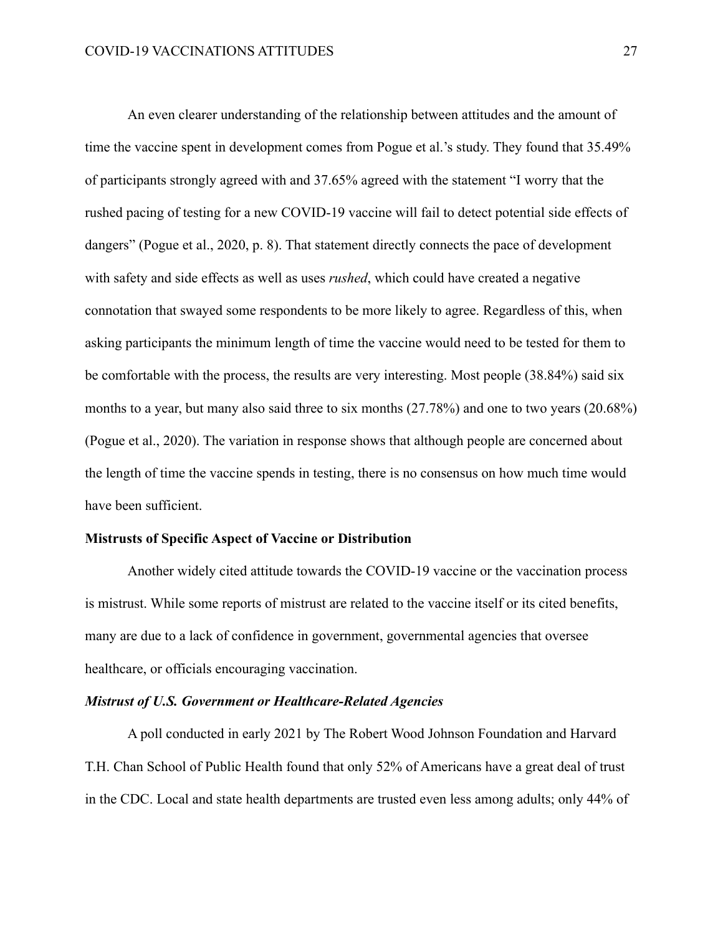An even clearer understanding of the relationship between attitudes and the amount of time the vaccine spent in development comes from Pogue et al.'s study. They found that 35.49% of participants strongly agreed with and 37.65% agreed with the statement "I worry that the rushed pacing of testing for a new COVID-19 vaccine will fail to detect potential side effects of dangers" (Pogue et al., 2020, p. 8). That statement directly connects the pace of development with safety and side effects as well as uses *rushed*, which could have created a negative connotation that swayed some respondents to be more likely to agree. Regardless of this, when asking participants the minimum length of time the vaccine would need to be tested for them to be comfortable with the process, the results are very interesting. Most people (38.84%) said six months to a year, but many also said three to six months (27.78%) and one to two years (20.68%) (Pogue et al., 2020). The variation in response shows that although people are concerned about the length of time the vaccine spends in testing, there is no consensus on how much time would have been sufficient.

#### **Mistrusts of Specific Aspect of Vaccine or Distribution**

Another widely cited attitude towards the COVID-19 vaccine or the vaccination process is mistrust. While some reports of mistrust are related to the vaccine itself or its cited benefits, many are due to a lack of confidence in government, governmental agencies that oversee healthcare, or officials encouraging vaccination.

#### *Mistrust of U.S. Government or Healthcare-Related Agencies*

A poll conducted in early 2021 by The Robert Wood Johnson Foundation and Harvard T.H. Chan School of Public Health found that only 52% of Americans have a great deal of trust in the CDC. Local and state health departments are trusted even less among adults; only 44% of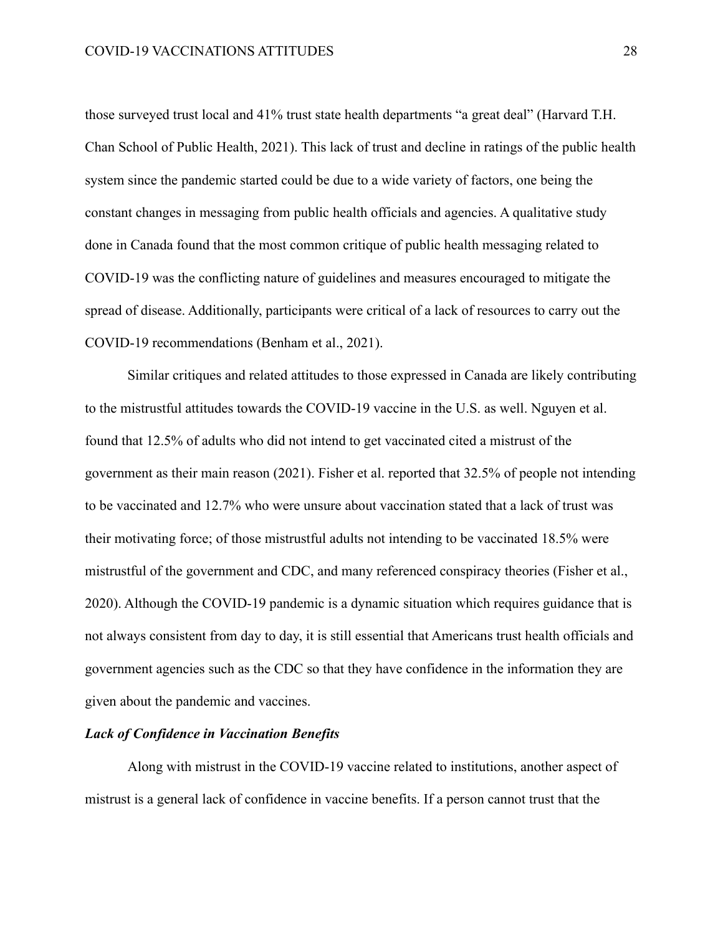those surveyed trust local and 41% trust state health departments "a great deal" (Harvard T.H. Chan School of Public Health, 2021). This lack of trust and decline in ratings of the public health system since the pandemic started could be due to a wide variety of factors, one being the constant changes in messaging from public health officials and agencies. A qualitative study done in Canada found that the most common critique of public health messaging related to COVID-19 was the conflicting nature of guidelines and measures encouraged to mitigate the spread of disease. Additionally, participants were critical of a lack of resources to carry out the COVID-19 recommendations (Benham et al., 2021).

Similar critiques and related attitudes to those expressed in Canada are likely contributing to the mistrustful attitudes towards the COVID-19 vaccine in the U.S. as well. Nguyen et al. found that 12.5% of adults who did not intend to get vaccinated cited a mistrust of the government as their main reason (2021). Fisher et al. reported that 32.5% of people not intending to be vaccinated and 12.7% who were unsure about vaccination stated that a lack of trust was their motivating force; of those mistrustful adults not intending to be vaccinated 18.5% were mistrustful of the government and CDC, and many referenced conspiracy theories (Fisher et al., 2020). Although the COVID-19 pandemic is a dynamic situation which requires guidance that is not always consistent from day to day, it is still essential that Americans trust health officials and government agencies such as the CDC so that they have confidence in the information they are given about the pandemic and vaccines.

#### *Lack of Confidence in Vaccination Benefits*

Along with mistrust in the COVID-19 vaccine related to institutions, another aspect of mistrust is a general lack of confidence in vaccine benefits. If a person cannot trust that the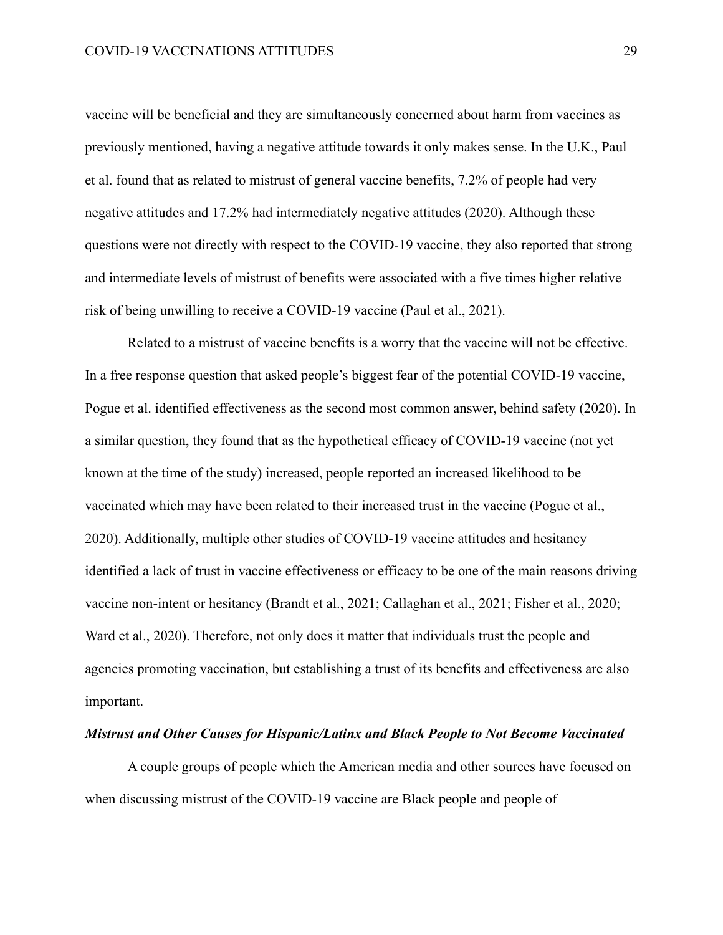vaccine will be beneficial and they are simultaneously concerned about harm from vaccines as previously mentioned, having a negative attitude towards it only makes sense. In the U.K., Paul et al. found that as related to mistrust of general vaccine benefits, 7.2% of people had very negative attitudes and 17.2% had intermediately negative attitudes (2020). Although these questions were not directly with respect to the COVID-19 vaccine, they also reported that strong and intermediate levels of mistrust of benefits were associated with a five times higher relative risk of being unwilling to receive a COVID-19 vaccine (Paul et al., 2021).

Related to a mistrust of vaccine benefits is a worry that the vaccine will not be effective. In a free response question that asked people's biggest fear of the potential COVID-19 vaccine, Pogue et al. identified effectiveness as the second most common answer, behind safety (2020). In a similar question, they found that as the hypothetical efficacy of COVID-19 vaccine (not yet known at the time of the study) increased, people reported an increased likelihood to be vaccinated which may have been related to their increased trust in the vaccine (Pogue et al., 2020). Additionally, multiple other studies of COVID-19 vaccine attitudes and hesitancy identified a lack of trust in vaccine effectiveness or efficacy to be one of the main reasons driving vaccine non-intent or hesitancy (Brandt et al., 2021; Callaghan et al., 2021; Fisher et al., 2020; Ward et al., 2020). Therefore, not only does it matter that individuals trust the people and agencies promoting vaccination, but establishing a trust of its benefits and effectiveness are also important.

#### *Mistrust and Other Causes for Hispanic/Latinx and Black People to Not Become Vaccinated*

A couple groups of people which the American media and other sources have focused on when discussing mistrust of the COVID-19 vaccine are Black people and people of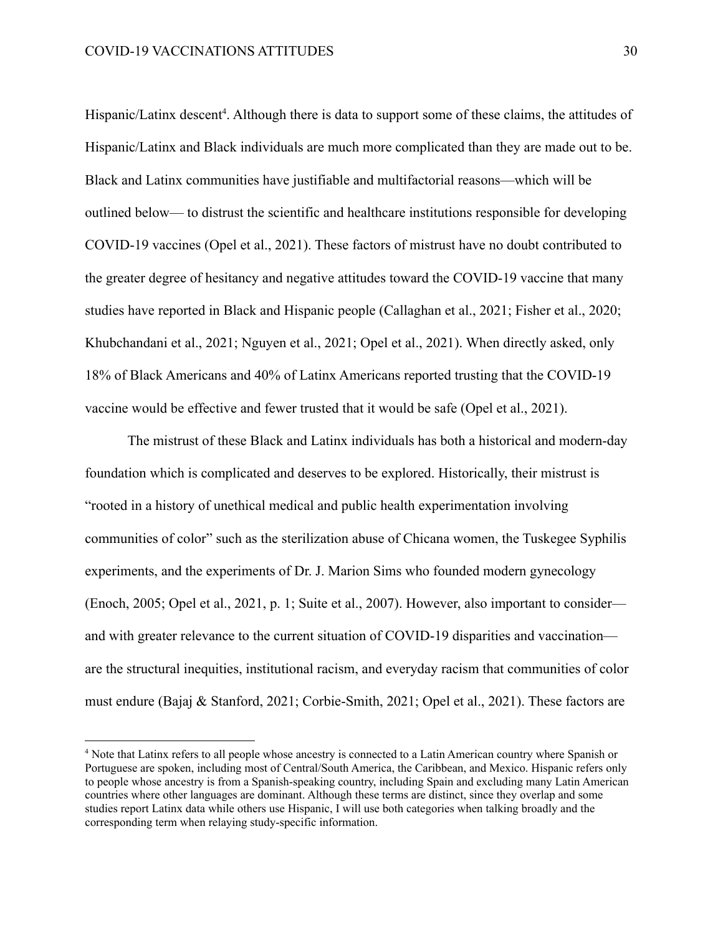Hispanic/Latinx descent<sup>4</sup>. Although there is data to support some of these claims, the attitudes of Hispanic/Latinx and Black individuals are much more complicated than they are made out to be. Black and Latinx communities have justifiable and multifactorial reasons—which will be outlined below— to distrust the scientific and healthcare institutions responsible for developing COVID-19 vaccines (Opel et al., 2021). These factors of mistrust have no doubt contributed to the greater degree of hesitancy and negative attitudes toward the COVID-19 vaccine that many studies have reported in Black and Hispanic people (Callaghan et al., 2021; Fisher et al., 2020; Khubchandani et al., 2021; Nguyen et al., 2021; Opel et al., 2021). When directly asked, only 18% of Black Americans and 40% of Latinx Americans reported trusting that the COVID-19 vaccine would be effective and fewer trusted that it would be safe (Opel et al., 2021).

The mistrust of these Black and Latinx individuals has both a historical and modern-day foundation which is complicated and deserves to be explored. Historically, their mistrust is "rooted in a history of unethical medical and public health experimentation involving communities of color" such as the sterilization abuse of Chicana women, the Tuskegee Syphilis experiments, and the experiments of Dr. J. Marion Sims who founded modern gynecology (Enoch, 2005; Opel et al., 2021, p. 1; Suite et al., 2007). However, also important to consider and with greater relevance to the current situation of COVID-19 disparities and vaccination are the structural inequities, institutional racism, and everyday racism that communities of color must endure (Bajaj & Stanford, 2021; Corbie-Smith, 2021; Opel et al., 2021). These factors are

<sup>4</sup> Note that Latinx refers to all people whose ancestry is connected to a Latin American country where Spanish or Portuguese are spoken, including most of Central/South America, the Caribbean, and Mexico. Hispanic refers only to people whose ancestry is from a Spanish-speaking country, including Spain and excluding many Latin American countries where other languages are dominant. Although these terms are distinct, since they overlap and some studies report Latinx data while others use Hispanic, I will use both categories when talking broadly and the corresponding term when relaying study-specific information.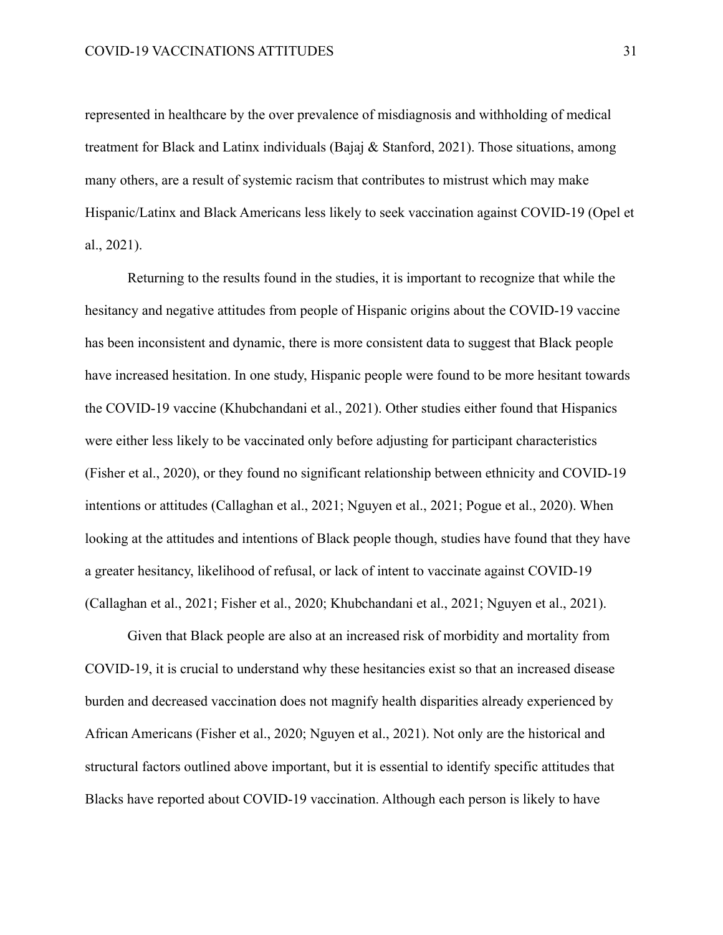represented in healthcare by the over prevalence of misdiagnosis and withholding of medical treatment for Black and Latinx individuals (Bajaj & Stanford, 2021). Those situations, among many others, are a result of systemic racism that contributes to mistrust which may make Hispanic/Latinx and Black Americans less likely to seek vaccination against COVID-19 (Opel et al., 2021).

Returning to the results found in the studies, it is important to recognize that while the hesitancy and negative attitudes from people of Hispanic origins about the COVID-19 vaccine has been inconsistent and dynamic, there is more consistent data to suggest that Black people have increased hesitation. In one study, Hispanic people were found to be more hesitant towards the COVID-19 vaccine (Khubchandani et al., 2021). Other studies either found that Hispanics were either less likely to be vaccinated only before adjusting for participant characteristics (Fisher et al., 2020), or they found no significant relationship between ethnicity and COVID-19 intentions or attitudes (Callaghan et al., 2021; Nguyen et al., 2021; Pogue et al., 2020). When looking at the attitudes and intentions of Black people though, studies have found that they have a greater hesitancy, likelihood of refusal, or lack of intent to vaccinate against COVID-19 (Callaghan et al., 2021; Fisher et al., 2020; Khubchandani et al., 2021; Nguyen et al., 2021).

Given that Black people are also at an increased risk of morbidity and mortality from COVID-19, it is crucial to understand why these hesitancies exist so that an increased disease burden and decreased vaccination does not magnify health disparities already experienced by African Americans (Fisher et al., 2020; Nguyen et al., 2021). Not only are the historical and structural factors outlined above important, but it is essential to identify specific attitudes that Blacks have reported about COVID-19 vaccination. Although each person is likely to have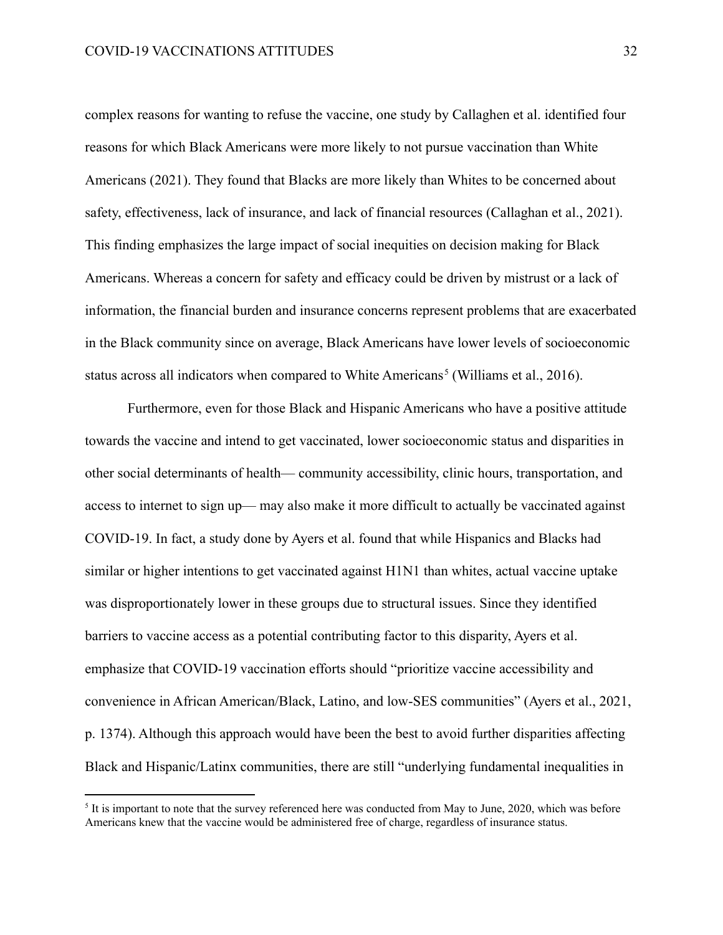complex reasons for wanting to refuse the vaccine, one study by Callaghen et al. identified four reasons for which Black Americans were more likely to not pursue vaccination than White Americans (2021). They found that Blacks are more likely than Whites to be concerned about safety, effectiveness, lack of insurance, and lack of financial resources (Callaghan et al., 2021). This finding emphasizes the large impact of social inequities on decision making for Black Americans. Whereas a concern for safety and efficacy could be driven by mistrust or a lack of information, the financial burden and insurance concerns represent problems that are exacerbated in the Black community since on average, Black Americans have lower levels of socioeconomic status across all indicators when compared to White Americans<sup>5</sup> (Williams et al., 2016).

Furthermore, even for those Black and Hispanic Americans who have a positive attitude towards the vaccine and intend to get vaccinated, lower socioeconomic status and disparities in other social determinants of health— community accessibility, clinic hours, transportation, and access to internet to sign up— may also make it more difficult to actually be vaccinated against COVID-19. In fact, a study done by Ayers et al. found that while Hispanics and Blacks had similar or higher intentions to get vaccinated against H1N1 than whites, actual vaccine uptake was disproportionately lower in these groups due to structural issues. Since they identified barriers to vaccine access as a potential contributing factor to this disparity, Ayers et al. emphasize that COVID-19 vaccination efforts should "prioritize vaccine accessibility and convenience in African American/Black, Latino, and low-SES communities" (Ayers et al., 2021, p. 1374). Although this approach would have been the best to avoid further disparities affecting Black and Hispanic/Latinx communities, there are still "underlying fundamental inequalities in

It is important to note that the survey referenced here was conducted from May to June, 2020, which was before Americans knew that the vaccine would be administered free of charge, regardless of insurance status.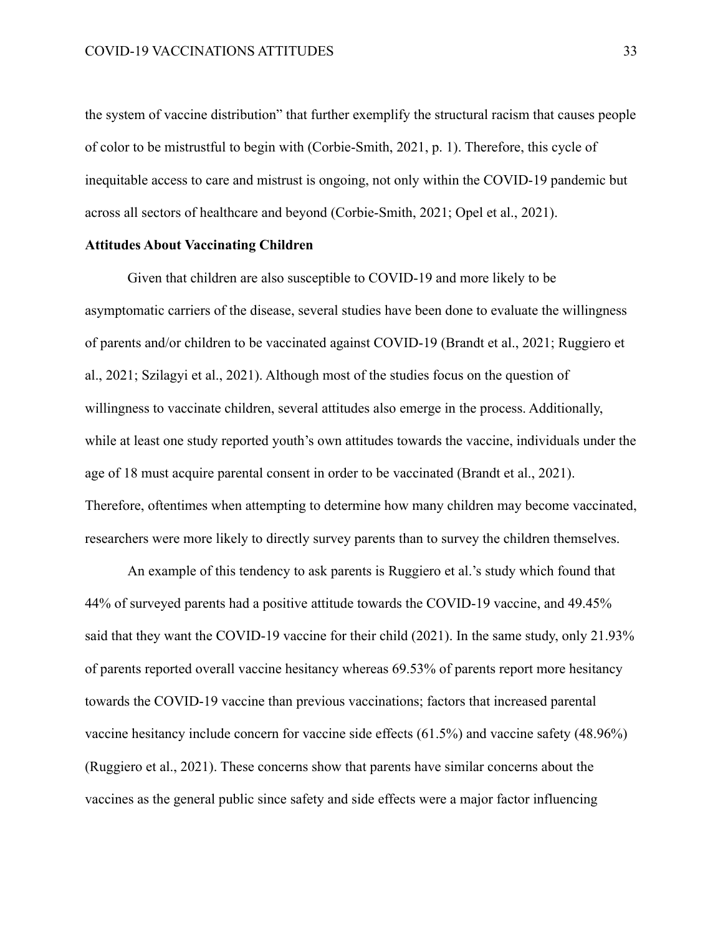the system of vaccine distribution" that further exemplify the structural racism that causes people of color to be mistrustful to begin with (Corbie-Smith, 2021, p. 1). Therefore, this cycle of inequitable access to care and mistrust is ongoing, not only within the COVID-19 pandemic but across all sectors of healthcare and beyond (Corbie-Smith, 2021; Opel et al., 2021).

#### **Attitudes About Vaccinating Children**

Given that children are also susceptible to COVID-19 and more likely to be asymptomatic carriers of the disease, several studies have been done to evaluate the willingness of parents and/or children to be vaccinated against COVID-19 (Brandt et al., 2021; Ruggiero et al., 2021; Szilagyi et al., 2021). Although most of the studies focus on the question of willingness to vaccinate children, several attitudes also emerge in the process. Additionally, while at least one study reported youth's own attitudes towards the vaccine, individuals under the age of 18 must acquire parental consent in order to be vaccinated (Brandt et al., 2021). Therefore, oftentimes when attempting to determine how many children may become vaccinated, researchers were more likely to directly survey parents than to survey the children themselves.

An example of this tendency to ask parents is Ruggiero et al.'s study which found that 44% of surveyed parents had a positive attitude towards the COVID-19 vaccine, and 49.45% said that they want the COVID-19 vaccine for their child (2021). In the same study, only 21.93% of parents reported overall vaccine hesitancy whereas 69.53% of parents report more hesitancy towards the COVID-19 vaccine than previous vaccinations; factors that increased parental vaccine hesitancy include concern for vaccine side effects (61.5%) and vaccine safety (48.96%) (Ruggiero et al., 2021). These concerns show that parents have similar concerns about the vaccines as the general public since safety and side effects were a major factor influencing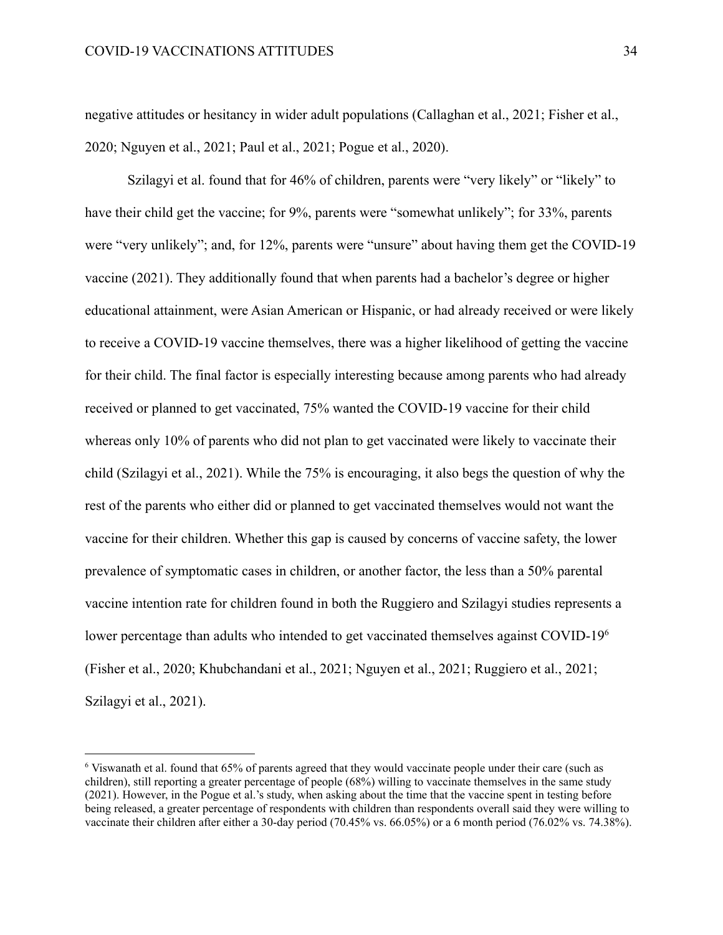negative attitudes or hesitancy in wider adult populations (Callaghan et al., 2021; Fisher et al., 2020; Nguyen et al., 2021; Paul et al., 2021; Pogue et al., 2020).

Szilagyi et al. found that for 46% of children, parents were "very likely" or "likely" to have their child get the vaccine; for 9%, parents were "somewhat unlikely"; for 33%, parents were "very unlikely"; and, for 12%, parents were "unsure" about having them get the COVID-19 vaccine (2021). They additionally found that when parents had a bachelor's degree or higher educational attainment, were Asian American or Hispanic, or had already received or were likely to receive a COVID-19 vaccine themselves, there was a higher likelihood of getting the vaccine for their child. The final factor is especially interesting because among parents who had already received or planned to get vaccinated, 75% wanted the COVID-19 vaccine for their child whereas only 10% of parents who did not plan to get vaccinated were likely to vaccinate their child (Szilagyi et al., 2021). While the 75% is encouraging, it also begs the question of why the rest of the parents who either did or planned to get vaccinated themselves would not want the vaccine for their children. Whether this gap is caused by concerns of vaccine safety, the lower prevalence of symptomatic cases in children, or another factor, the less than a 50% parental vaccine intention rate for children found in both the Ruggiero and Szilagyi studies represents a lower percentage than adults who intended to get vaccinated themselves against COVID-19<sup>6</sup> (Fisher et al., 2020; Khubchandani et al., 2021; Nguyen et al., 2021; Ruggiero et al., 2021; Szilagyi et al., 2021).

<sup>6</sup> Viswanath et al. found that 65% of parents agreed that they would vaccinate people under their care (such as children), still reporting a greater percentage of people (68%) willing to vaccinate themselves in the same study (2021). However, in the Pogue et al.'s study, when asking about the time that the vaccine spent in testing before being released, a greater percentage of respondents with children than respondents overall said they were willing to vaccinate their children after either a 30-day period (70.45% vs. 66.05%) or a 6 month period (76.02% vs. 74.38%).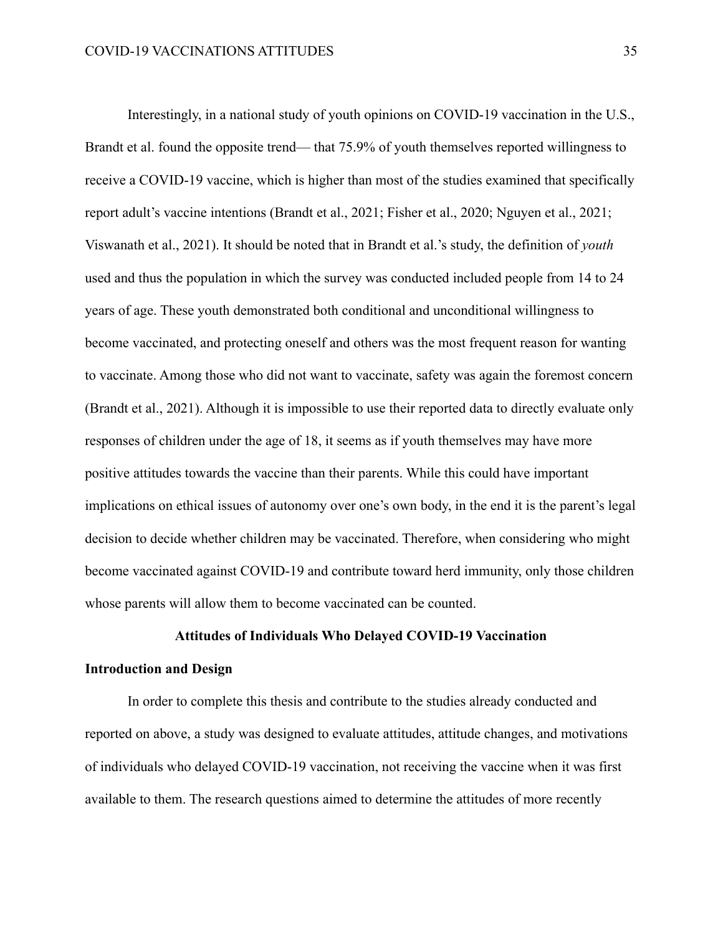Interestingly, in a national study of youth opinions on COVID-19 vaccination in the U.S., Brandt et al. found the opposite trend— that 75.9% of youth themselves reported willingness to receive a COVID-19 vaccine, which is higher than most of the studies examined that specifically report adult's vaccine intentions (Brandt et al., 2021; Fisher et al., 2020; Nguyen et al., 2021; Viswanath et al., 2021). It should be noted that in Brandt et al.'s study, the definition of *youth* used and thus the population in which the survey was conducted included people from 14 to 24 years of age. These youth demonstrated both conditional and unconditional willingness to become vaccinated, and protecting oneself and others was the most frequent reason for wanting to vaccinate. Among those who did not want to vaccinate, safety was again the foremost concern (Brandt et al., 2021). Although it is impossible to use their reported data to directly evaluate only responses of children under the age of 18, it seems as if youth themselves may have more positive attitudes towards the vaccine than their parents. While this could have important implications on ethical issues of autonomy over one's own body, in the end it is the parent's legal decision to decide whether children may be vaccinated. Therefore, when considering who might become vaccinated against COVID-19 and contribute toward herd immunity, only those children whose parents will allow them to become vaccinated can be counted.

#### **Attitudes of Individuals Who Delayed COVID-19 Vaccination**

#### **Introduction and Design**

In order to complete this thesis and contribute to the studies already conducted and reported on above, a study was designed to evaluate attitudes, attitude changes, and motivations of individuals who delayed COVID-19 vaccination, not receiving the vaccine when it was first available to them. The research questions aimed to determine the attitudes of more recently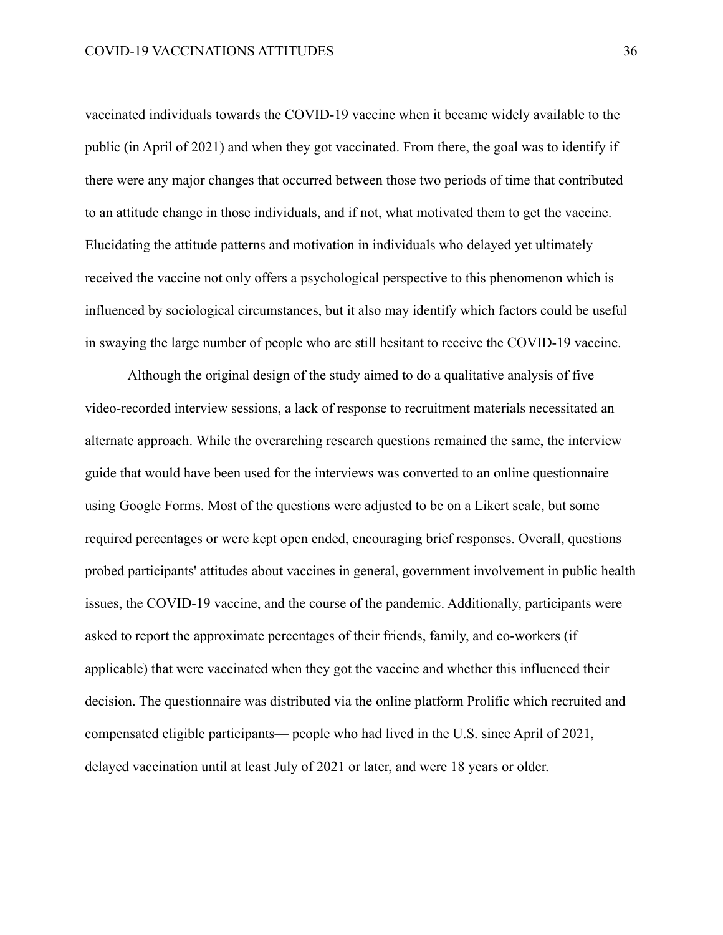vaccinated individuals towards the COVID-19 vaccine when it became widely available to the public (in April of 2021) and when they got vaccinated. From there, the goal was to identify if there were any major changes that occurred between those two periods of time that contributed to an attitude change in those individuals, and if not, what motivated them to get the vaccine. Elucidating the attitude patterns and motivation in individuals who delayed yet ultimately received the vaccine not only offers a psychological perspective to this phenomenon which is influenced by sociological circumstances, but it also may identify which factors could be useful in swaying the large number of people who are still hesitant to receive the COVID-19 vaccine.

Although the original design of the study aimed to do a qualitative analysis of five video-recorded interview sessions, a lack of response to recruitment materials necessitated an alternate approach. While the overarching research questions remained the same, the interview guide that would have been used for the interviews was converted to an online questionnaire using Google Forms. Most of the questions were adjusted to be on a Likert scale, but some required percentages or were kept open ended, encouraging brief responses. Overall, questions probed participants' attitudes about vaccines in general, government involvement in public health issues, the COVID-19 vaccine, and the course of the pandemic. Additionally, participants were asked to report the approximate percentages of their friends, family, and co-workers (if applicable) that were vaccinated when they got the vaccine and whether this influenced their decision. The questionnaire was distributed via the online platform Prolific which recruited and compensated eligible participants— people who had lived in the U.S. since April of 2021, delayed vaccination until at least July of 2021 or later, and were 18 years or older.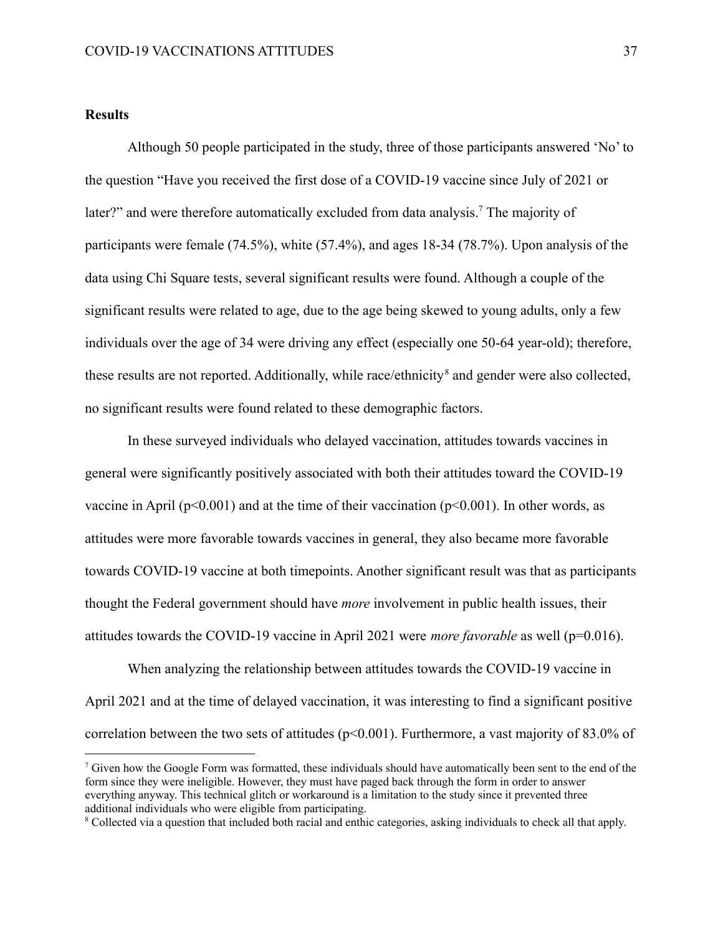#### **Results**

Although 50 people participated in the study, three of those participants answered 'No' to the question "Have you received the first dose of a COVID-19 vaccine since July of 2021 or later?" and were therefore automatically excluded from data analysis.<sup>7</sup> The majority of participants were female (74.5%), white (57.4%), and ages 18-34 (78.7%). Upon analysis of the data using Chi Square tests, several significant results were found. Although a couple of the significant results were related to age, due to the age being skewed to young adults, only a few individuals over the age of 34 were driving any effect (especially one 50-64 year-old); therefore, these results are not reported. Additionally, while race/ethnicity<sup>8</sup> and gender were also collected, no significant results were found related to these demographic factors.

In these surveyed individuals who delayed vaccination, attitudes towards vaccines in general were significantly positively associated with both their attitudes toward the COVID-19 vaccine in April ( $p<0.001$ ) and at the time of their vaccination ( $p<0.001$ ). In other words, as attitudes were more favorable towards vaccines in general, they also became more favorable towards COVID-19 vaccine at both timepoints. Another significant result was that as participants thought the Federal government should have *more* involvement in public health issues, their attitudes towards the COVID-19 vaccine in April 2021 were *more favorable* as well (p=0.016).

When analyzing the relationship between attitudes towards the COVID-19 vaccine in April 2021 and at the time of delayed vaccination, it was interesting to find a significant positive correlation between the two sets of attitudes (p<0.001). Furthermore, a vast majority of 83.0% of

 $<sup>7</sup>$  Given how the Google Form was formatted, these individuals should have automatically been sent to the end of the</sup> form since they were ineligible. However, they must have paged back through the form in order to answer everything anyway. This technical glitch or workaround is a limitation to the study since it prevented three additional individuals who were eligible from participating.

<sup>8</sup> Collected via a question that included both racial and enthic categories, asking individuals to check all that apply.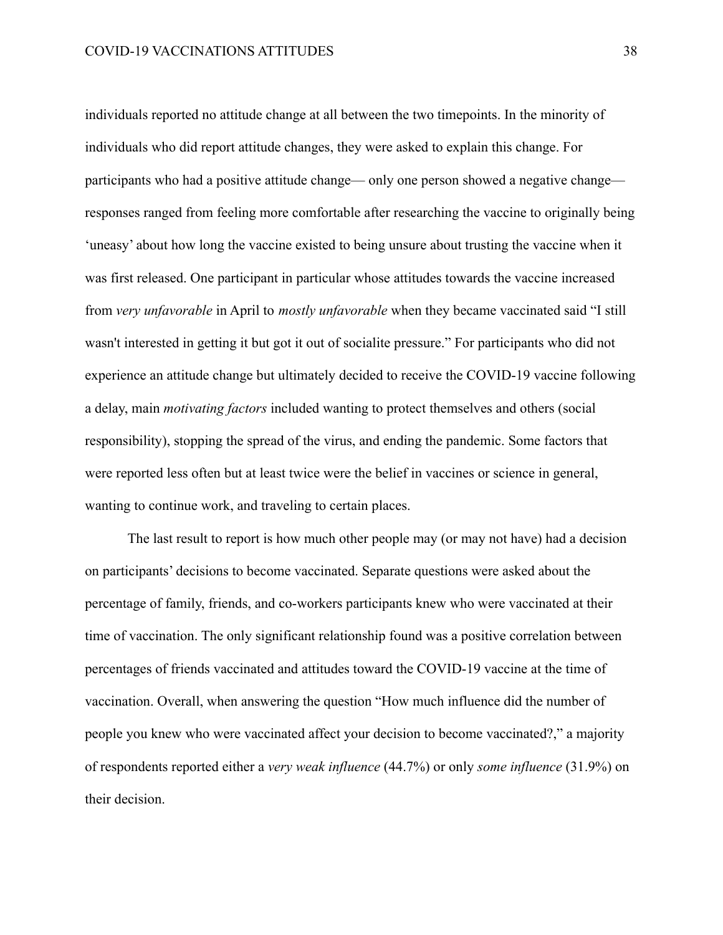individuals reported no attitude change at all between the two timepoints. In the minority of individuals who did report attitude changes, they were asked to explain this change. For participants who had a positive attitude change— only one person showed a negative change responses ranged from feeling more comfortable after researching the vaccine to originally being 'uneasy' about how long the vaccine existed to being unsure about trusting the vaccine when it was first released. One participant in particular whose attitudes towards the vaccine increased from *very unfavorable* in April to *mostly unfavorable* when they became vaccinated said "I still wasn't interested in getting it but got it out of socialite pressure." For participants who did not experience an attitude change but ultimately decided to receive the COVID-19 vaccine following a delay, main *motivating factors* included wanting to protect themselves and others (social responsibility), stopping the spread of the virus, and ending the pandemic. Some factors that were reported less often but at least twice were the belief in vaccines or science in general, wanting to continue work, and traveling to certain places.

The last result to report is how much other people may (or may not have) had a decision on participants' decisions to become vaccinated. Separate questions were asked about the percentage of family, friends, and co-workers participants knew who were vaccinated at their time of vaccination. The only significant relationship found was a positive correlation between percentages of friends vaccinated and attitudes toward the COVID-19 vaccine at the time of vaccination. Overall, when answering the question "How much influence did the number of people you knew who were vaccinated affect your decision to become vaccinated?," a majority of respondents reported either a *very weak influence* (44.7%) or only *some influence* (31.9%) on their decision.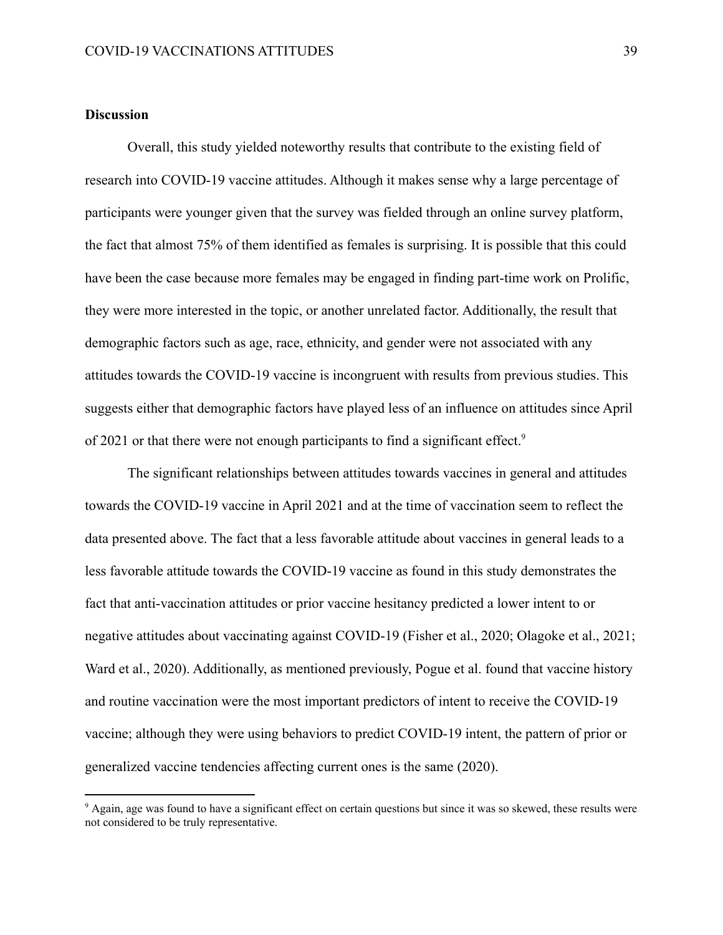#### **Discussion**

Overall, this study yielded noteworthy results that contribute to the existing field of research into COVID-19 vaccine attitudes. Although it makes sense why a large percentage of participants were younger given that the survey was fielded through an online survey platform, the fact that almost 75% of them identified as females is surprising. It is possible that this could have been the case because more females may be engaged in finding part-time work on Prolific, they were more interested in the topic, or another unrelated factor. Additionally, the result that demographic factors such as age, race, ethnicity, and gender were not associated with any attitudes towards the COVID-19 vaccine is incongruent with results from previous studies. This suggests either that demographic factors have played less of an influence on attitudes since April of 2021 or that there were not enough participants to find a significant effect.<sup>9</sup>

The significant relationships between attitudes towards vaccines in general and attitudes towards the COVID-19 vaccine in April 2021 and at the time of vaccination seem to reflect the data presented above. The fact that a less favorable attitude about vaccines in general leads to a less favorable attitude towards the COVID-19 vaccine as found in this study demonstrates the fact that anti-vaccination attitudes or prior vaccine hesitancy predicted a lower intent to or negative attitudes about vaccinating against COVID-19 (Fisher et al., 2020; Olagoke et al., 2021; Ward et al., 2020). Additionally, as mentioned previously, Pogue et al. found that vaccine history and routine vaccination were the most important predictors of intent to receive the COVID-19 vaccine; although they were using behaviors to predict COVID-19 intent, the pattern of prior or generalized vaccine tendencies affecting current ones is the same (2020).

<sup>&</sup>lt;sup>9</sup> Again, age was found to have a significant effect on certain questions but since it was so skewed, these results were not considered to be truly representative.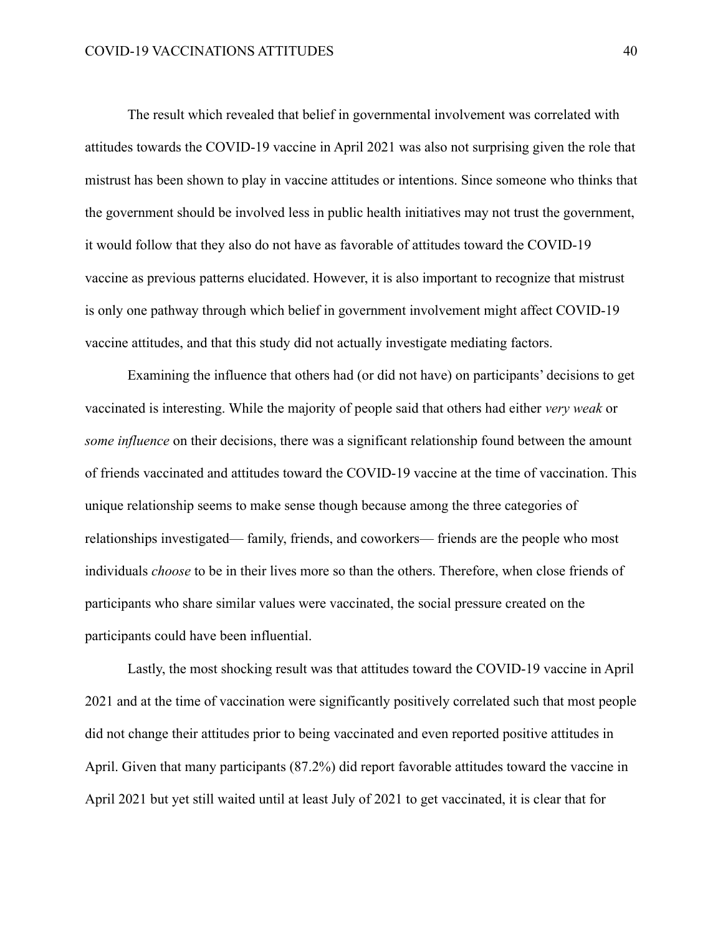The result which revealed that belief in governmental involvement was correlated with attitudes towards the COVID-19 vaccine in April 2021 was also not surprising given the role that mistrust has been shown to play in vaccine attitudes or intentions. Since someone who thinks that the government should be involved less in public health initiatives may not trust the government, it would follow that they also do not have as favorable of attitudes toward the COVID-19 vaccine as previous patterns elucidated. However, it is also important to recognize that mistrust is only one pathway through which belief in government involvement might affect COVID-19 vaccine attitudes, and that this study did not actually investigate mediating factors.

Examining the influence that others had (or did not have) on participants' decisions to get vaccinated is interesting. While the majority of people said that others had either *very weak* or *some influence* on their decisions, there was a significant relationship found between the amount of friends vaccinated and attitudes toward the COVID-19 vaccine at the time of vaccination. This unique relationship seems to make sense though because among the three categories of relationships investigated— family, friends, and coworkers— friends are the people who most individuals *choose* to be in their lives more so than the others. Therefore, when close friends of participants who share similar values were vaccinated, the social pressure created on the participants could have been influential.

Lastly, the most shocking result was that attitudes toward the COVID-19 vaccine in April 2021 and at the time of vaccination were significantly positively correlated such that most people did not change their attitudes prior to being vaccinated and even reported positive attitudes in April. Given that many participants (87.2%) did report favorable attitudes toward the vaccine in April 2021 but yet still waited until at least July of 2021 to get vaccinated, it is clear that for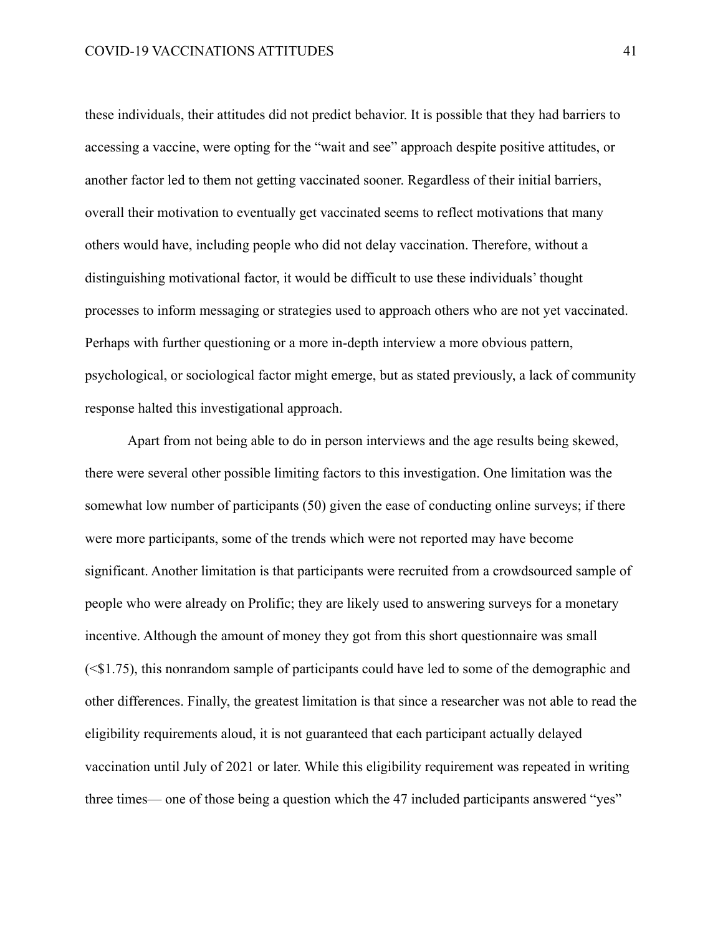these individuals, their attitudes did not predict behavior. It is possible that they had barriers to accessing a vaccine, were opting for the "wait and see" approach despite positive attitudes, or another factor led to them not getting vaccinated sooner. Regardless of their initial barriers, overall their motivation to eventually get vaccinated seems to reflect motivations that many others would have, including people who did not delay vaccination. Therefore, without a distinguishing motivational factor, it would be difficult to use these individuals' thought processes to inform messaging or strategies used to approach others who are not yet vaccinated. Perhaps with further questioning or a more in-depth interview a more obvious pattern, psychological, or sociological factor might emerge, but as stated previously, a lack of community response halted this investigational approach.

Apart from not being able to do in person interviews and the age results being skewed, there were several other possible limiting factors to this investigation. One limitation was the somewhat low number of participants (50) given the ease of conducting online surveys; if there were more participants, some of the trends which were not reported may have become significant. Another limitation is that participants were recruited from a crowdsourced sample of people who were already on Prolific; they are likely used to answering surveys for a monetary incentive. Although the amount of money they got from this short questionnaire was small (<\$1.75), this nonrandom sample of participants could have led to some of the demographic and other differences. Finally, the greatest limitation is that since a researcher was not able to read the eligibility requirements aloud, it is not guaranteed that each participant actually delayed vaccination until July of 2021 or later. While this eligibility requirement was repeated in writing three times— one of those being a question which the 47 included participants answered "yes"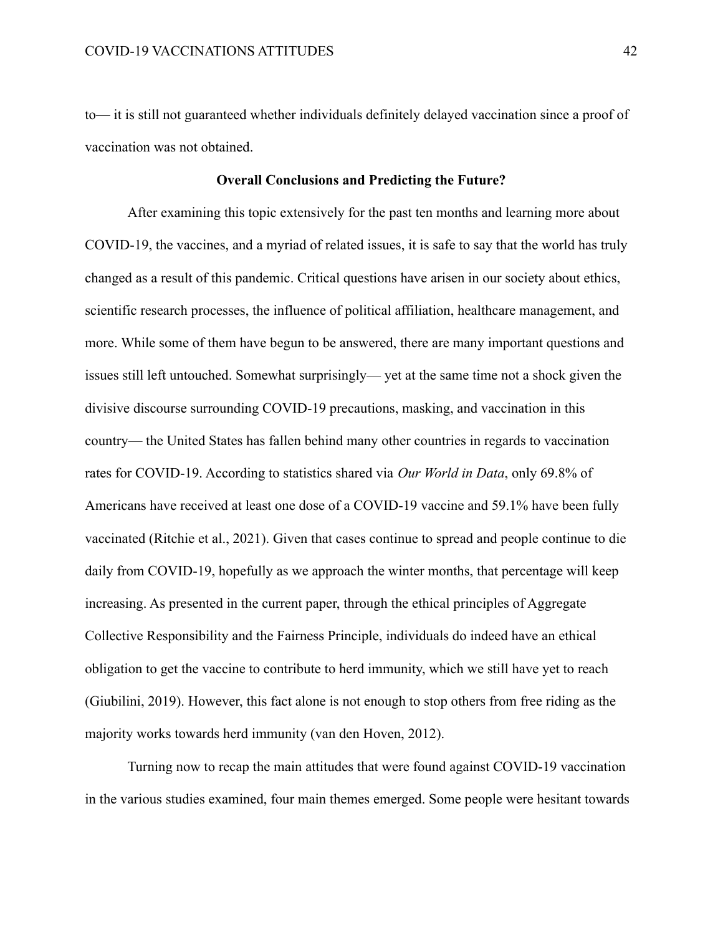to— it is still not guaranteed whether individuals definitely delayed vaccination since a proof of vaccination was not obtained.

#### **Overall Conclusions and Predicting the Future?**

After examining this topic extensively for the past ten months and learning more about COVID-19, the vaccines, and a myriad of related issues, it is safe to say that the world has truly changed as a result of this pandemic. Critical questions have arisen in our society about ethics, scientific research processes, the influence of political affiliation, healthcare management, and more. While some of them have begun to be answered, there are many important questions and issues still left untouched. Somewhat surprisingly— yet at the same time not a shock given the divisive discourse surrounding COVID-19 precautions, masking, and vaccination in this country— the United States has fallen behind many other countries in regards to vaccination rates for COVID-19. According to statistics shared via *Our World in Data*, only 69.8% of Americans have received at least one dose of a COVID-19 vaccine and 59.1% have been fully vaccinated (Ritchie et al., 2021). Given that cases continue to spread and people continue to die daily from COVID-19, hopefully as we approach the winter months, that percentage will keep increasing. As presented in the current paper, through the ethical principles of Aggregate Collective Responsibility and the Fairness Principle, individuals do indeed have an ethical obligation to get the vaccine to contribute to herd immunity, which we still have yet to reach (Giubilini, 2019). However, this fact alone is not enough to stop others from free riding as the majority works towards herd immunity (van den Hoven, 2012).

Turning now to recap the main attitudes that were found against COVID-19 vaccination in the various studies examined, four main themes emerged. Some people were hesitant towards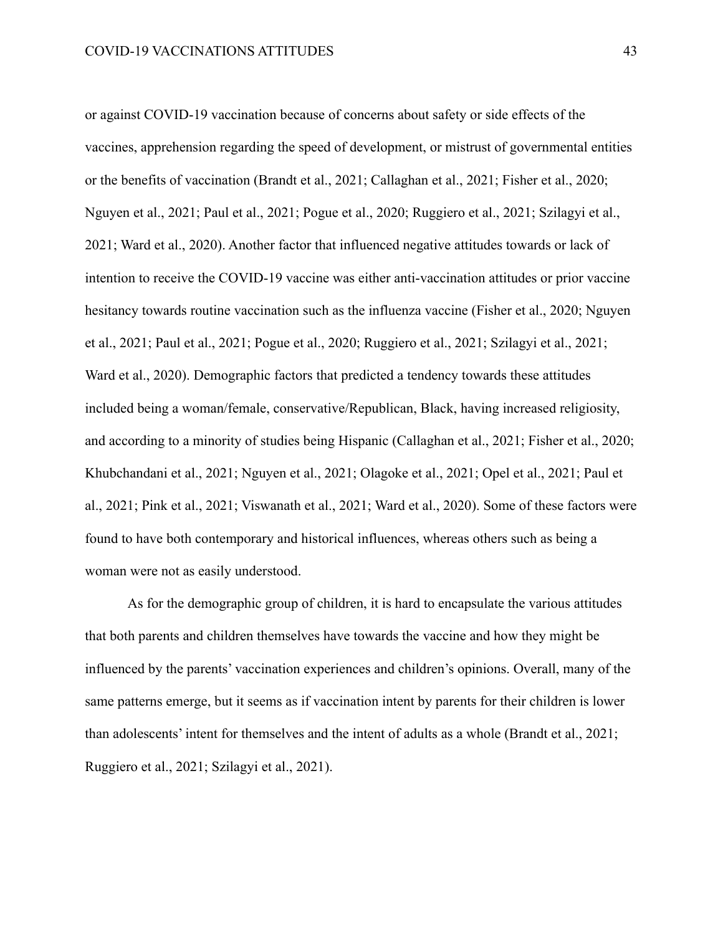or against COVID-19 vaccination because of concerns about safety or side effects of the vaccines, apprehension regarding the speed of development, or mistrust of governmental entities or the benefits of vaccination (Brandt et al., 2021; Callaghan et al., 2021; Fisher et al., 2020; Nguyen et al., 2021; Paul et al., 2021; Pogue et al., 2020; Ruggiero et al., 2021; Szilagyi et al., 2021; Ward et al., 2020). Another factor that influenced negative attitudes towards or lack of intention to receive the COVID-19 vaccine was either anti-vaccination attitudes or prior vaccine hesitancy towards routine vaccination such as the influenza vaccine (Fisher et al., 2020; Nguyen et al., 2021; Paul et al., 2021; Pogue et al., 2020; Ruggiero et al., 2021; Szilagyi et al., 2021; Ward et al., 2020). Demographic factors that predicted a tendency towards these attitudes included being a woman/female, conservative/Republican, Black, having increased religiosity, and according to a minority of studies being Hispanic (Callaghan et al., 2021; Fisher et al., 2020; Khubchandani et al., 2021; Nguyen et al., 2021; Olagoke et al., 2021; Opel et al., 2021; Paul et al., 2021; Pink et al., 2021; Viswanath et al., 2021; Ward et al., 2020). Some of these factors were found to have both contemporary and historical influences, whereas others such as being a woman were not as easily understood.

As for the demographic group of children, it is hard to encapsulate the various attitudes that both parents and children themselves have towards the vaccine and how they might be influenced by the parents' vaccination experiences and children's opinions. Overall, many of the same patterns emerge, but it seems as if vaccination intent by parents for their children is lower than adolescents' intent for themselves and the intent of adults as a whole (Brandt et al., 2021; Ruggiero et al., 2021; Szilagyi et al., 2021).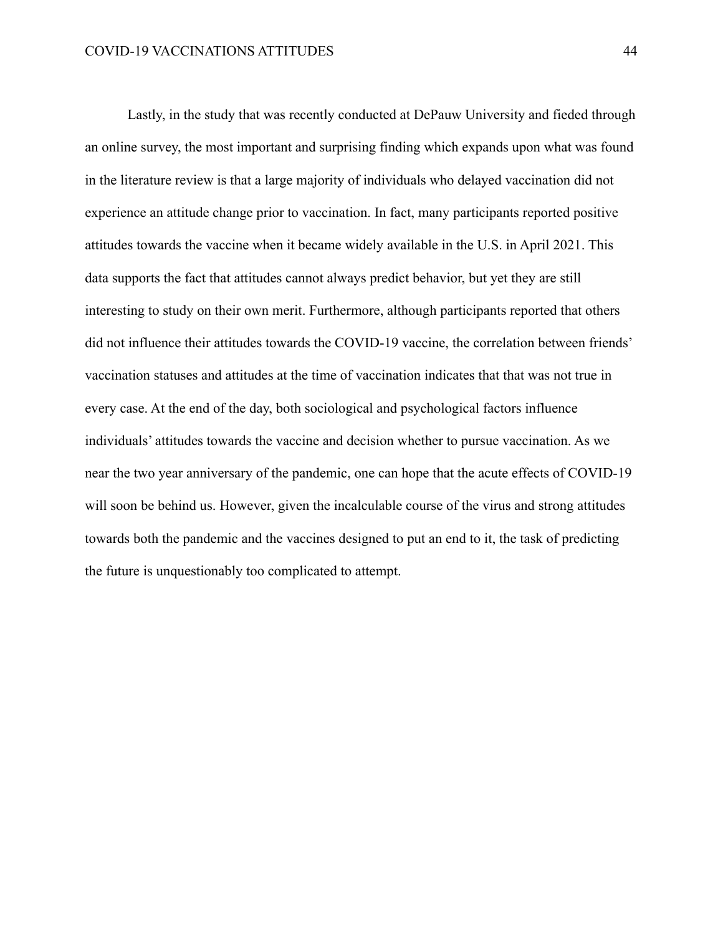Lastly, in the study that was recently conducted at DePauw University and fieded through an online survey, the most important and surprising finding which expands upon what was found in the literature review is that a large majority of individuals who delayed vaccination did not experience an attitude change prior to vaccination. In fact, many participants reported positive attitudes towards the vaccine when it became widely available in the U.S. in April 2021. This data supports the fact that attitudes cannot always predict behavior, but yet they are still interesting to study on their own merit. Furthermore, although participants reported that others did not influence their attitudes towards the COVID-19 vaccine, the correlation between friends' vaccination statuses and attitudes at the time of vaccination indicates that that was not true in every case. At the end of the day, both sociological and psychological factors influence individuals' attitudes towards the vaccine and decision whether to pursue vaccination. As we near the two year anniversary of the pandemic, one can hope that the acute effects of COVID-19 will soon be behind us. However, given the incalculable course of the virus and strong attitudes towards both the pandemic and the vaccines designed to put an end to it, the task of predicting the future is unquestionably too complicated to attempt.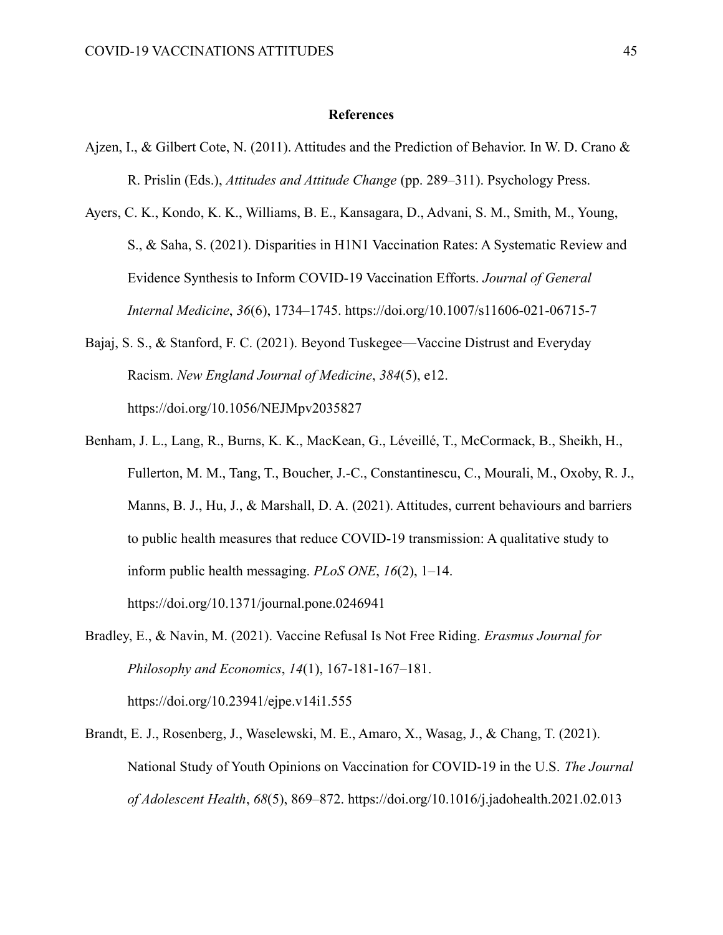#### **References**

- Ajzen, I., & Gilbert Cote, N. (2011). Attitudes and the Prediction of Behavior. In W. D. Crano & R. Prislin (Eds.), *Attitudes and Attitude Change* (pp. 289–311). Psychology Press.
- Ayers, C. K., Kondo, K. K., Williams, B. E., Kansagara, D., Advani, S. M., Smith, M., Young, S., & Saha, S. (2021). Disparities in H1N1 Vaccination Rates: A Systematic Review and Evidence Synthesis to Inform COVID-19 Vaccination Efforts. *Journal of General Internal Medicine*, *36*(6), 1734–1745. https://doi.org/10.1007/s11606-021-06715-7
- Bajaj, S. S., & Stanford, F. C. (2021). Beyond Tuskegee—Vaccine Distrust and Everyday Racism. *New England Journal of Medicine*, *384*(5), e12. https://doi.org/10.1056/NEJMpv2035827
- Benham, J. L., Lang, R., Burns, K. K., MacKean, G., Léveillé, T., McCormack, B., Sheikh, H., Fullerton, M. M., Tang, T., Boucher, J.-C., Constantinescu, C., Mourali, M., Oxoby, R. J., Manns, B. J., Hu, J., & Marshall, D. A. (2021). Attitudes, current behaviours and barriers to public health measures that reduce COVID-19 transmission: A qualitative study to inform public health messaging. *PLoS ONE*, *16*(2), 1–14. https://doi.org/10.1371/journal.pone.0246941
- Bradley, E., & Navin, M. (2021). Vaccine Refusal Is Not Free Riding. *Erasmus Journal for Philosophy and Economics*, *14*(1), 167-181-167–181. https://doi.org/10.23941/ejpe.v14i1.555
- Brandt, E. J., Rosenberg, J., Waselewski, M. E., Amaro, X., Wasag, J., & Chang, T. (2021). National Study of Youth Opinions on Vaccination for COVID-19 in the U.S. *The Journal of Adolescent Health*, *68*(5), 869–872. https://doi.org/10.1016/j.jadohealth.2021.02.013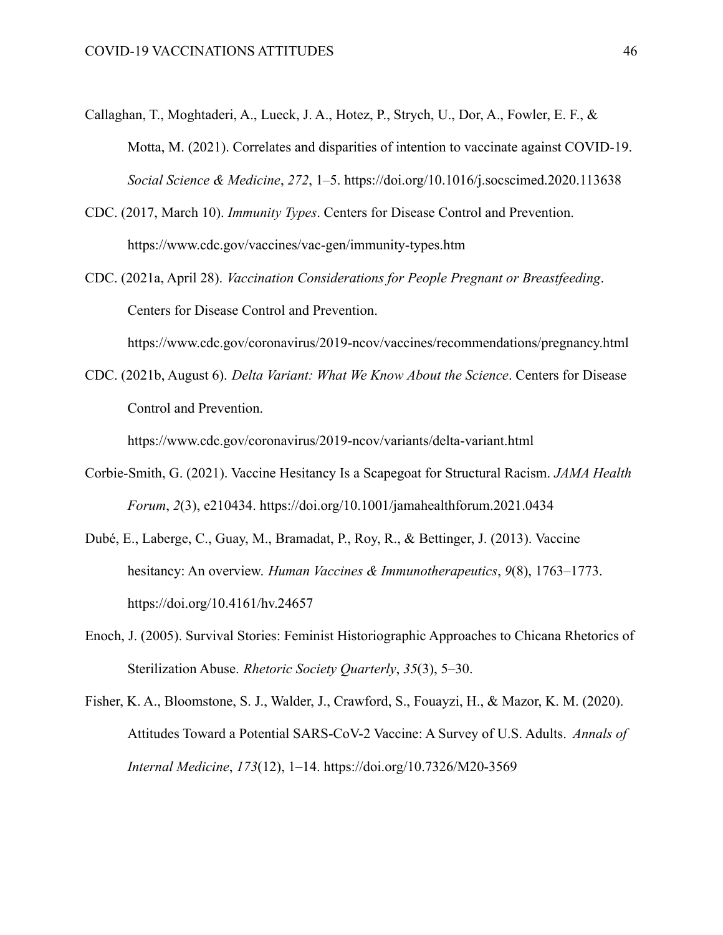- Callaghan, T., Moghtaderi, A., Lueck, J. A., Hotez, P., Strych, U., Dor, A., Fowler, E. F., & Motta, M. (2021). Correlates and disparities of intention to vaccinate against COVID-19. *Social Science & Medicine*, *272*, 1–5. https://doi.org/10.1016/j.socscimed.2020.113638
- CDC. (2017, March 10). *Immunity Types*. Centers for Disease Control and Prevention. https://www.cdc.gov/vaccines/vac-gen/immunity-types.htm
- CDC. (2021a, April 28). *Vaccination Considerations for People Pregnant or Breastfeeding*. Centers for Disease Control and Prevention.

https://www.cdc.gov/coronavirus/2019-ncov/vaccines/recommendations/pregnancy.html

CDC. (2021b, August 6). *Delta Variant: What We Know About the Science*. Centers for Disease Control and Prevention.

https://www.cdc.gov/coronavirus/2019-ncov/variants/delta-variant.html

- Corbie-Smith, G. (2021). Vaccine Hesitancy Is a Scapegoat for Structural Racism. *JAMA Health Forum*, *2*(3), e210434. https://doi.org/10.1001/jamahealthforum.2021.0434
- Dubé, E., Laberge, C., Guay, M., Bramadat, P., Roy, R., & Bettinger, J. (2013). Vaccine hesitancy: An overview. *Human Vaccines & Immunotherapeutics*, *9*(8), 1763–1773. https://doi.org/10.4161/hv.24657
- Enoch, J. (2005). Survival Stories: Feminist Historiographic Approaches to Chicana Rhetorics of Sterilization Abuse. *Rhetoric Society Quarterly*, *35*(3), 5–30.
- Fisher, K. A., Bloomstone, S. J., Walder, J., Crawford, S., Fouayzi, H., & Mazor, K. M. (2020). Attitudes Toward a Potential SARS-CoV-2 Vaccine: A Survey of U.S. Adults. *Annals of Internal Medicine*, *173*(12), 1–14. https://doi.org/10.7326/M20-3569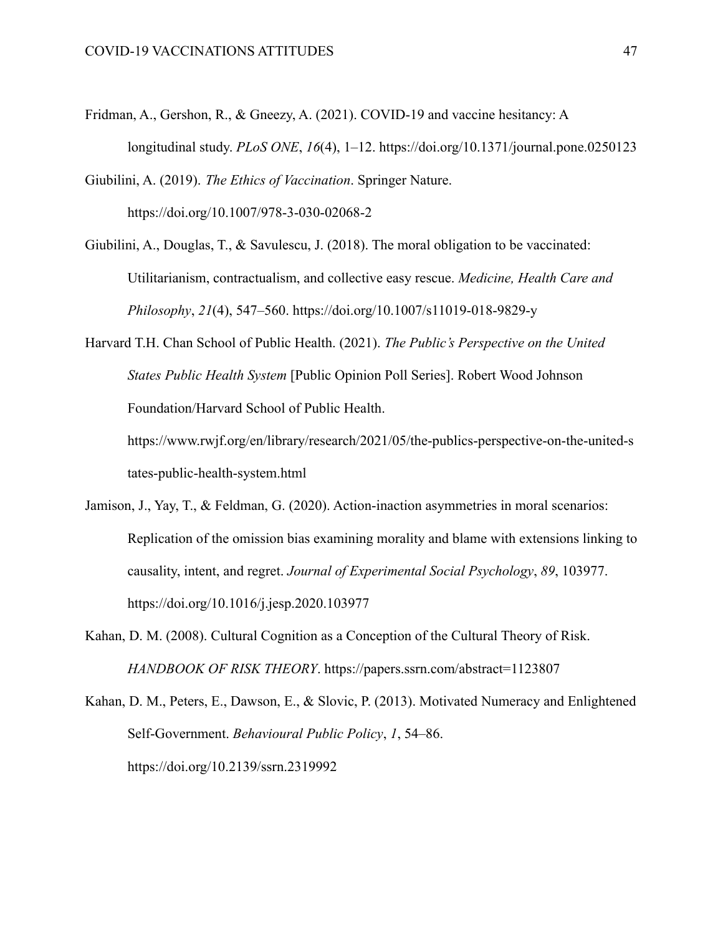Fridman, A., Gershon, R., & Gneezy, A. (2021). COVID-19 and vaccine hesitancy: A longitudinal study. *PLoS ONE*, *16*(4), 1–12. https://doi.org/10.1371/journal.pone.0250123

Giubilini, A. (2019). *The Ethics of Vaccination*. Springer Nature. https://doi.org/10.1007/978-3-030-02068-2

Giubilini, A., Douglas, T., & Savulescu, J. (2018). The moral obligation to be vaccinated: Utilitarianism, contractualism, and collective easy rescue. *Medicine, Health Care and Philosophy*, *21*(4), 547–560. https://doi.org/10.1007/s11019-018-9829-y

Harvard T.H. Chan School of Public Health. (2021). *The Public's Perspective on the United States Public Health System* [Public Opinion Poll Series]. Robert Wood Johnson Foundation/Harvard School of Public Health. https://www.rwjf.org/en/library/research/2021/05/the-publics-perspective-on-the-united-s

tates-public-health-system.html

- Jamison, J., Yay, T., & Feldman, G. (2020). Action-inaction asymmetries in moral scenarios: Replication of the omission bias examining morality and blame with extensions linking to causality, intent, and regret. *Journal of Experimental Social Psychology*, *89*, 103977. https://doi.org/10.1016/j.jesp.2020.103977
- Kahan, D. M. (2008). Cultural Cognition as a Conception of the Cultural Theory of Risk. *HANDBOOK OF RISK THEORY*. https://papers.ssrn.com/abstract=1123807
- Kahan, D. M., Peters, E., Dawson, E., & Slovic, P. (2013). Motivated Numeracy and Enlightened Self-Government. *Behavioural Public Policy*, *1*, 54–86. https://doi.org/10.2139/ssrn.2319992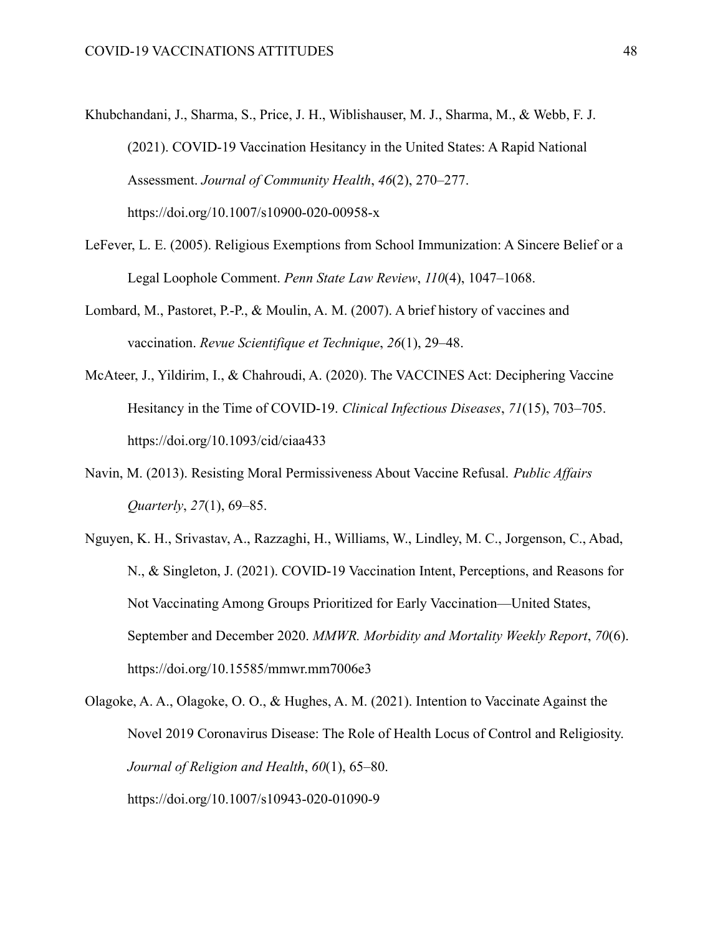- Khubchandani, J., Sharma, S., Price, J. H., Wiblishauser, M. J., Sharma, M., & Webb, F. J. (2021). COVID-19 Vaccination Hesitancy in the United States: A Rapid National Assessment. *Journal of Community Health*, *46*(2), 270–277. https://doi.org/10.1007/s10900-020-00958-x
- LeFever, L. E. (2005). Religious Exemptions from School Immunization: A Sincere Belief or a Legal Loophole Comment. *Penn State Law Review*, *110*(4), 1047–1068.
- Lombard, M., Pastoret, P.-P., & Moulin, A. M. (2007). A brief history of vaccines and vaccination. *Revue Scientifique et Technique*, *26*(1), 29–48.
- McAteer, J., Yildirim, I., & Chahroudi, A. (2020). The VACCINES Act: Deciphering Vaccine Hesitancy in the Time of COVID-19. *Clinical Infectious Diseases*, *71*(15), 703–705. https://doi.org/10.1093/cid/ciaa433
- Navin, M. (2013). Resisting Moral Permissiveness About Vaccine Refusal. *Public Affairs Quarterly*, *27*(1), 69–85.
- Nguyen, K. H., Srivastav, A., Razzaghi, H., Williams, W., Lindley, M. C., Jorgenson, C., Abad, N., & Singleton, J. (2021). COVID-19 Vaccination Intent, Perceptions, and Reasons for Not Vaccinating Among Groups Prioritized for Early Vaccination—United States, September and December 2020. *MMWR. Morbidity and Mortality Weekly Report*, *70*(6). https://doi.org/10.15585/mmwr.mm7006e3
- Olagoke, A. A., Olagoke, O. O., & Hughes, A. M. (2021). Intention to Vaccinate Against the Novel 2019 Coronavirus Disease: The Role of Health Locus of Control and Religiosity. *Journal of Religion and Health*, *60*(1), 65–80. https://doi.org/10.1007/s10943-020-01090-9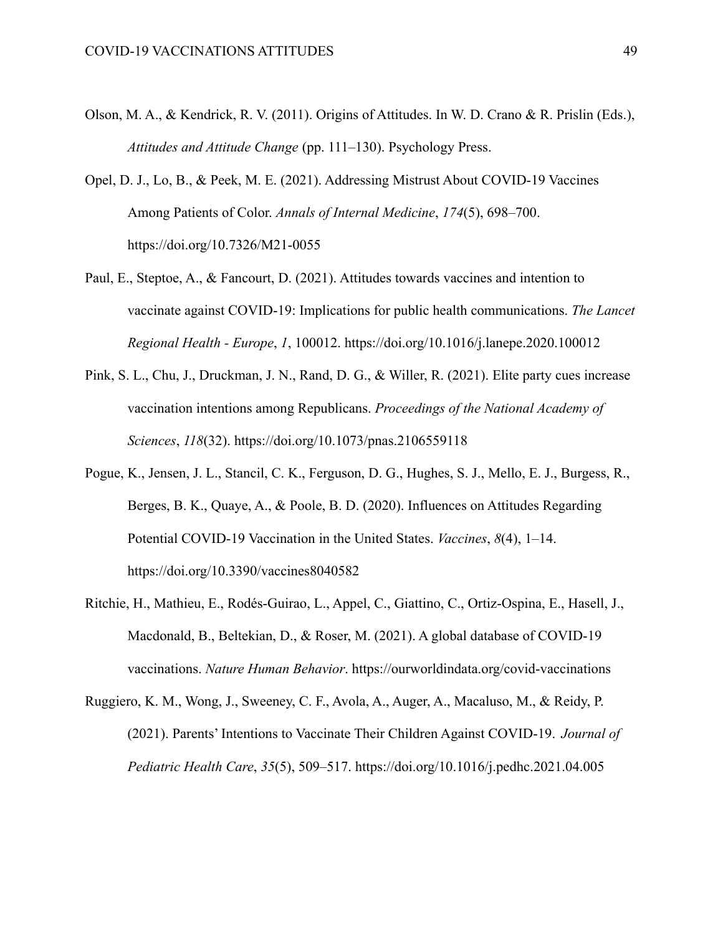- Olson, M. A., & Kendrick, R. V. (2011). Origins of Attitudes. In W. D. Crano & R. Prislin (Eds.), *Attitudes and Attitude Change* (pp. 111–130). Psychology Press.
- Opel, D. J., Lo, B., & Peek, M. E. (2021). Addressing Mistrust About COVID-19 Vaccines Among Patients of Color. *Annals of Internal Medicine*, *174*(5), 698–700. https://doi.org/10.7326/M21-0055
- Paul, E., Steptoe, A., & Fancourt, D. (2021). Attitudes towards vaccines and intention to vaccinate against COVID-19: Implications for public health communications. *The Lancet Regional Health - Europe*, *1*, 100012. https://doi.org/10.1016/j.lanepe.2020.100012
- Pink, S. L., Chu, J., Druckman, J. N., Rand, D. G., & Willer, R. (2021). Elite party cues increase vaccination intentions among Republicans. *Proceedings of the National Academy of Sciences*, *118*(32). https://doi.org/10.1073/pnas.2106559118
- Pogue, K., Jensen, J. L., Stancil, C. K., Ferguson, D. G., Hughes, S. J., Mello, E. J., Burgess, R., Berges, B. K., Quaye, A., & Poole, B. D. (2020). Influences on Attitudes Regarding Potential COVID-19 Vaccination in the United States. *Vaccines*, *8*(4), 1–14. https://doi.org/10.3390/vaccines8040582
- Ritchie, H., Mathieu, E., Rodés-Guirao, L., Appel, C., Giattino, C., Ortiz-Ospina, E., Hasell, J., Macdonald, B., Beltekian, D., & Roser, M. (2021). A global database of COVID-19 vaccinations. *Nature Human Behavior*. https://ourworldindata.org/covid-vaccinations
- Ruggiero, K. M., Wong, J., Sweeney, C. F., Avola, A., Auger, A., Macaluso, M., & Reidy, P. (2021). Parents' Intentions to Vaccinate Their Children Against COVID-19. *Journal of Pediatric Health Care*, *35*(5), 509–517. https://doi.org/10.1016/j.pedhc.2021.04.005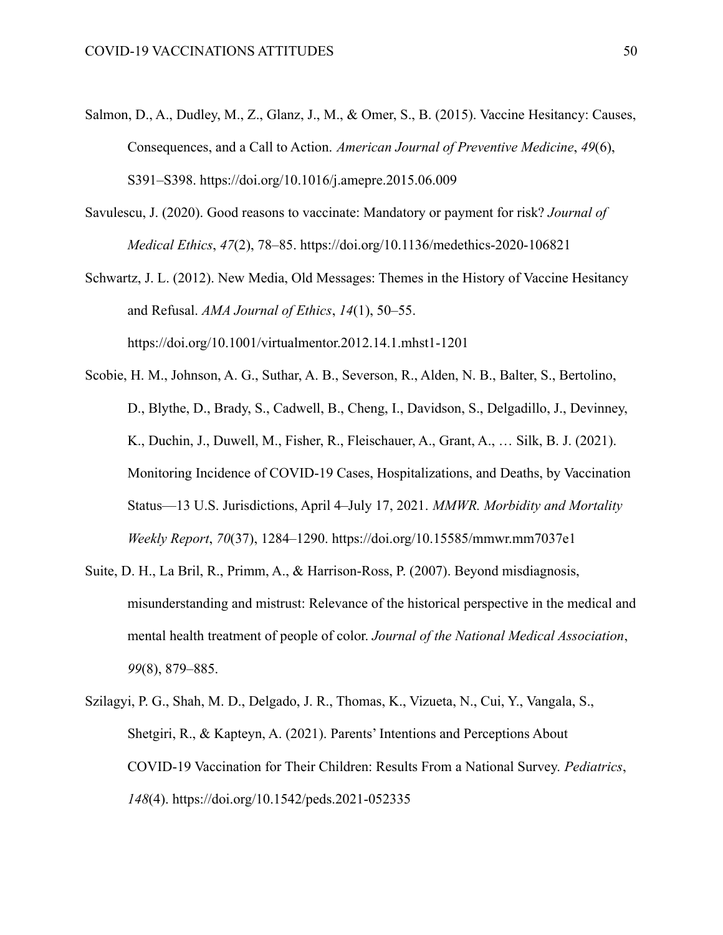- Salmon, D., A., Dudley, M., Z., Glanz, J., M., & Omer, S., B. (2015). Vaccine Hesitancy: Causes, Consequences, and a Call to Action. *American Journal of Preventive Medicine*, *49*(6), S391–S398. https://doi.org/10.1016/j.amepre.2015.06.009
- Savulescu, J. (2020). Good reasons to vaccinate: Mandatory or payment for risk? *Journal of Medical Ethics*, *47*(2), 78–85. https://doi.org/10.1136/medethics-2020-106821
- Schwartz, J. L. (2012). New Media, Old Messages: Themes in the History of Vaccine Hesitancy and Refusal. *AMA Journal of Ethics*, *14*(1), 50–55. https://doi.org/10.1001/virtualmentor.2012.14.1.mhst1-1201
- Scobie, H. M., Johnson, A. G., Suthar, A. B., Severson, R., Alden, N. B., Balter, S., Bertolino, D., Blythe, D., Brady, S., Cadwell, B., Cheng, I., Davidson, S., Delgadillo, J., Devinney, K., Duchin, J., Duwell, M., Fisher, R., Fleischauer, A., Grant, A., … Silk, B. J. (2021). Monitoring Incidence of COVID-19 Cases, Hospitalizations, and Deaths, by Vaccination Status—13 U.S. Jurisdictions, April 4–July 17, 2021. *MMWR. Morbidity and Mortality Weekly Report*, *70*(37), 1284–1290. https://doi.org/10.15585/mmwr.mm7037e1
- Suite, D. H., La Bril, R., Primm, A., & Harrison-Ross, P. (2007). Beyond misdiagnosis, misunderstanding and mistrust: Relevance of the historical perspective in the medical and mental health treatment of people of color. *Journal of the National Medical Association*, *99*(8), 879–885.
- Szilagyi, P. G., Shah, M. D., Delgado, J. R., Thomas, K., Vizueta, N., Cui, Y., Vangala, S., Shetgiri, R., & Kapteyn, A. (2021). Parents' Intentions and Perceptions About COVID-19 Vaccination for Their Children: Results From a National Survey. *Pediatrics*, *148*(4). https://doi.org/10.1542/peds.2021-052335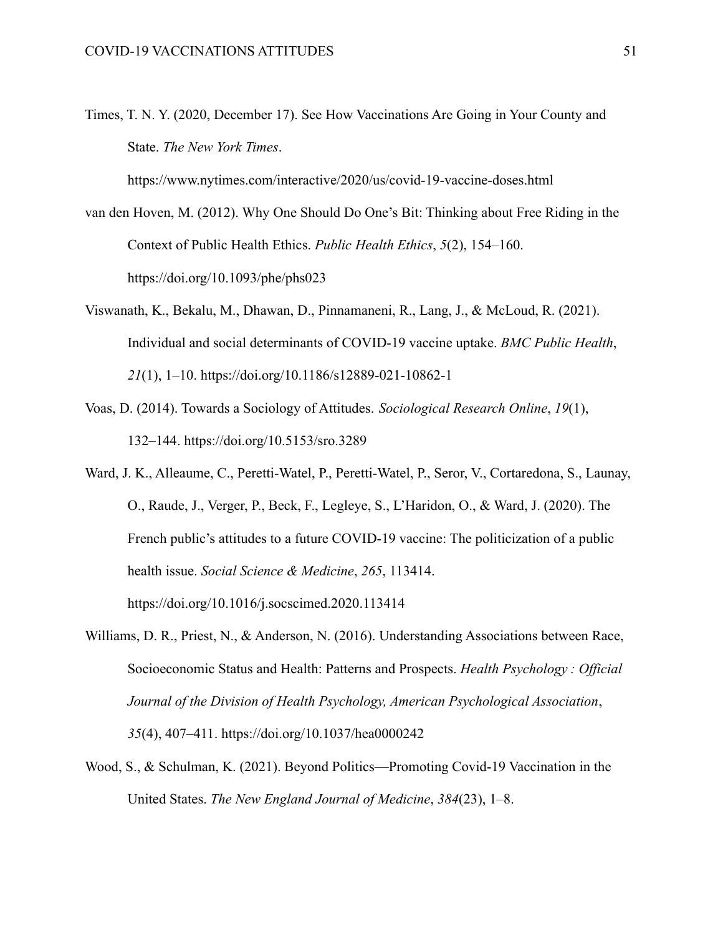Times, T. N. Y. (2020, December 17). See How Vaccinations Are Going in Your County and State. *The New York Times*.

https://www.nytimes.com/interactive/2020/us/covid-19-vaccine-doses.html

- van den Hoven, M. (2012). Why One Should Do One's Bit: Thinking about Free Riding in the Context of Public Health Ethics. *Public Health Ethics*, *5*(2), 154–160. https://doi.org/10.1093/phe/phs023
- Viswanath, K., Bekalu, M., Dhawan, D., Pinnamaneni, R., Lang, J., & McLoud, R. (2021). Individual and social determinants of COVID-19 vaccine uptake. *BMC Public Health*, *21*(1), 1–10. https://doi.org/10.1186/s12889-021-10862-1
- Voas, D. (2014). Towards a Sociology of Attitudes. *Sociological Research Online*, *19*(1), 132–144. https://doi.org/10.5153/sro.3289
- Ward, J. K., Alleaume, C., Peretti-Watel, P., Peretti-Watel, P., Seror, V., Cortaredona, S., Launay, O., Raude, J., Verger, P., Beck, F., Legleye, S., L'Haridon, O., & Ward, J. (2020). The French public's attitudes to a future COVID-19 vaccine: The politicization of a public health issue. *Social Science & Medicine*, *265*, 113414. https://doi.org/10.1016/j.socscimed.2020.113414
- Williams, D. R., Priest, N., & Anderson, N. (2016). Understanding Associations between Race, Socioeconomic Status and Health: Patterns and Prospects. *Health Psychology : Official Journal of the Division of Health Psychology, American Psychological Association*, *35*(4), 407–411. https://doi.org/10.1037/hea0000242
- Wood, S., & Schulman, K. (2021). Beyond Politics—Promoting Covid-19 Vaccination in the United States. *The New England Journal of Medicine*, *384*(23), 1–8.